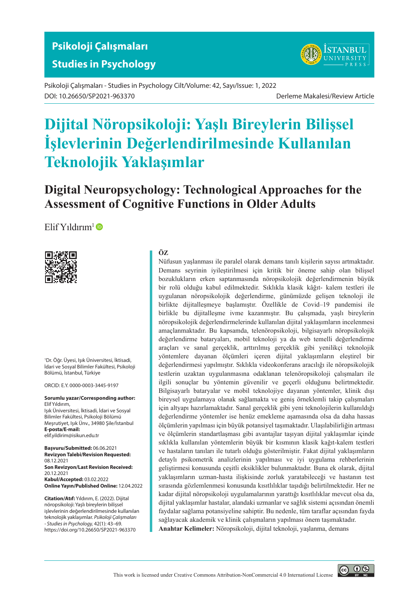



Psikoloji Çalışmaları - Studies in Psychology Cilt/Volume: 42, Sayı/Issue: 1, 2022 DOI: 10.26650/SP2021-963370 Derleme Makalesi/Review Article

# **Dijital Nöropsikoloji: Yaşlı Bireylerin Bilişsel İşlevlerinin Değerlendirilmesinde Kullanılan Teknolojik Yaklaşımlar**

**Digital Neuropsychology: Technological Approaches for the Assessment of Cognitive Functions in Older Adults**

 $E$ lif Yıldırım<sup>1</sup> $\bullet$ 



1 Dr. Öğr. Üyesi, Işık Üniversitesi, İktisadi, İdari ve Sosyal Bilimler Fakültesi, Psikoloji Bölümü, İstanbul, Türkiye

ORCID: E.Y. 0000-0003-3445-9197

**Sorumlu yazar/Corresponding author:** Elif Yıldırım, Işık Üniversitesi, İktisadi, İdari ve Sosyal Bilimler Fakültesi, Psikoloji Bölümü Meşrutiyet, Işık Ünv., 34980 Şile/İstanbul **E-posta/E-mail:** [elif.yildirim@isikun.edu.tr](mailto:elif.yildirim@isikun.edu.tr)

**Başvuru/Submitted:** 06.06.2021 **Revizyon Talebi/Revision Requested:** 08.12.2021 **Son Revizyon/Last Revision Received:** 20.12.2021 **Kabul/Accepted:** 03.02.2022 **Online Yayın/Published Online:** 12.04.2022

**Citation/Atıf:** Yıldırım, E. (2022). Dijital nöropsikoloji: Yaşlı bireylerin bilişsel işlevlerinin değerlendirilmesinde kullanılan teknolojik yaklaşımlar. *Psikoloji Çalışmaları - Studies in Psychology,* 42(1): 43–69. https://doi.org/10.26650/SP2021-963370

## **ÖZ**

Nüfusun yaşlanması ile paralel olarak demans tanılı kişilerin sayısı artmaktadır. Demans seyrinin iyileştirilmesi için kritik bir öneme sahip olan bilişsel bozuklukların erken saptanmasında nöropsikolojik değerlendirmenin büyük bir rolü olduğu kabul edilmektedir. Sıklıkla klasik kâğıt- kalem testleri ile uygulanan nöropsikolojik değerlendirme, günümüzde gelişen teknoloji ile birlikte dijitalleşmeye başlamıştır. Özellikle de Covid–19 pandemisi ile birlikle bu dijitalleşme ivme kazanmıştır. Bu çalışmada, yaşlı bireylerin nöropsikolojik değerlendirmelerinde kullanılan dijital yaklaşımların incelenmesi amaçlanmaktadır. Bu kapsamda, telenöropsikoloji, bilgisayarlı nöropsikolojik değerlendirme bataryaları, mobil teknoloji ya da web temelli değerlendirme araçları ve sanal gerçeklik, arttırılmış gerçeklik gibi yenilikçi teknolojik yöntemlere dayanan ölçümleri içeren dijital yaklaşımların eleştirel bir değerlendirmesi yapılmıştır. Sıklıkla videokonferans aracılığı ile nöropsikolojik testlerin uzaktan uygulanmasına odaklanan telenöropsikoloji çalışmaları ile ilgili sonuçlar bu yöntemin güvenilir ve geçerli olduğunu belirtmektedir. Bilgisayarlı bataryalar ve mobil teknolojiye dayanan yöntemler, klinik dışı bireysel uygulamaya olanak sağlamakta ve geniş örneklemli takip çalışmaları için altyapı hazırlamaktadır. Sanal gerçeklik gibi yeni teknolojilerin kullanıldığı değerlendirme yöntemler ise henüz emekleme aşamasında olsa da daha hassas ölçümlerin yapılması için büyük potansiyel taşımaktadır. Ulaşılabilirliğin artması ve ölçümlerin standartlaşması gibi avantajlar taşıyan dijital yaklaşımlar içinde sıklıkla kullanılan yöntemlerin büyük bir kısmının klasik kağıt-kalem testleri ve hastaların tanıları ile tutarlı olduğu gösterilmiştir. Fakat dijital yaklaşımların detaylı psikometrik analizlerinin yapılması ve iyi uygulama rehberlerinin geliştirmesi konusunda çeşitli eksiklikler bulunmaktadır. Buna ek olarak, dijital yaklaşımların uzman-hasta ilişkisinde zorluk yaratabileceği ve hastanın test sırasında gözlemlenmesi konusunda kısıtlılıklar taşıdığı belirtilmektedir. Her ne kadar dijital nöropsikoloji uygulamalarının yarattığı kısıtlılıklar mevcut olsa da, dijital yaklaşımlar hastalar, alandaki uzmanlar ve sağlık sistemi açısından önemli faydalar sağlama potansiyeline sahiptir. Bu nedenle, tüm taraflar açısından fayda sağlayacak akademik ve klinik çalışmaların yapılması önem taşımaktadır. **Anahtar Kelimeler:** Nöropsikoloji, dijital teknoloji, yaşlanma, demans

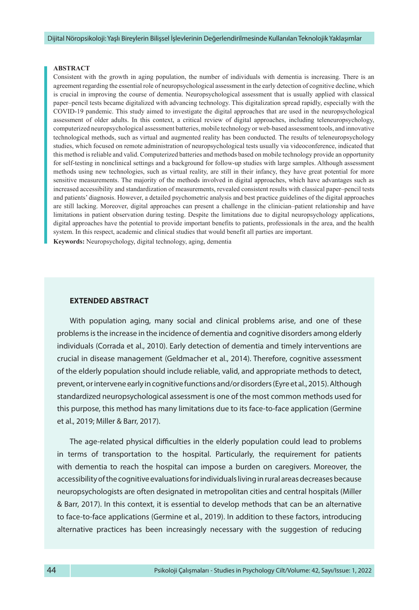#### **ABSTRACT**

Consistent with the growth in aging population, the number of individuals with dementia is increasing. There is an agreement regarding the essential role of neuropsychological assessment in the early detection of cognitive decline, which is crucial in improving the course of dementia. Neuropsychological assessment that is usually applied with classical paper–pencil tests became digitalized with advancing technology. This digitalization spread rapidly, especially with the COVID-19 pandemic. This study aimed to investigate the digital approaches that are used in the neuropsychological assessment of older adults. In this context, a critical review of digital approaches, including teleneuropsychology, computerized neuropsychological assessment batteries, mobile technology or web-based assessment tools, and innovative technological methods, such as virtual and augmented reality has been conducted. The results of teleneuropsychology studies, which focused on remote administration of neuropsychological tests usually via videoconference, indicated that this method is reliable and valid. Computerized batteries and methods based on mobile technology provide an opportunity for self-testing in nonclinical settings and a background for follow-up studies with large samples. Although assessment methods using new technologies, such as virtual reality, are still in their infancy, they have great potential for more sensitive measurements. The majority of the methods involved in digital approaches, which have advantages such as increased accessibility and standardization of measurements, revealed consistent results with classical paper–pencil tests and patients' diagnosis. However, a detailed psychometric analysis and best practice guidelines of the digital approaches are still lacking. Moreover, digital approaches can present a challenge in the clinician–patient relationship and have limitations in patient observation during testing. Despite the limitations due to digital neuropsychology applications, digital approaches have the potential to provide important benefits to patients, professionals in the area, and the health system. In this respect, academic and clinical studies that would benefit all parties are important.

**Keywords:** Neuropsychology, digital technology, aging, dementia

#### **EXTENDED ABSTRACT**

With population aging, many social and clinical problems arise, and one of these problems is the increase in the incidence of dementia and cognitive disorders among elderly individuals (Corrada et al., 2010). Early detection of dementia and timely interventions are crucial in disease management (Geldmacher et al., 2014). Therefore, cognitive assessment of the elderly population should include reliable, valid, and appropriate methods to detect, prevent, or intervene early in cognitive functions and/or disorders (Eyre et al., 2015). Although standardized neuropsychological assessment is one of the most common methods used for this purpose, this method has many limitations due to its face-to-face application (Germine et al., 2019; Miller & Barr, 2017).

The age-related physical difficulties in the elderly population could lead to problems in terms of transportation to the hospital. Particularly, the requirement for patients with dementia to reach the hospital can impose a burden on caregivers. Moreover, the accessibility of the cognitive evaluations for individuals living in rural areas decreases because neuropsychologists are often designated in metropolitan cities and central hospitals (Miller & Barr, 2017). In this context, it is essential to develop methods that can be an alternative to face-to-face applications (Germine et al., 2019). In addition to these factors, introducing alternative practices has been increasingly necessary with the suggestion of reducing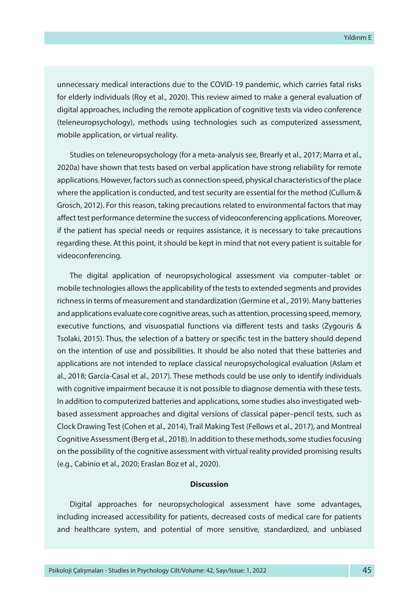unnecessary medical interactions due to the COVID-19 pandemic, which carries fatal risks for elderly individuals (Roy et al., 2020). This review aimed to make a general evaluation of digital approaches, including the remote application of cognitive tests via video conference (teleneuropsychology), methods using technologies such as computerized assessment, mobile application, or virtual reality.

Studies on teleneuropsychology (for a meta-analysis see, Brearly et al., 2017; Marra et al., 2020a) have shown that tests based on verbal application have strong reliability for remote applications. However, factors such as connection speed, physical characteristics of the place where the application is conducted, and test security are essential for the method (Cullum & Grosch, 2012). For this reason, taking precautions related to environmental factors that may affect test performance determine the success of videoconferencing applications. Moreover, if the patient has special needs or requires assistance, it is necessary to take precautions regarding these. At this point, it should be kept in mind that not every patient is suitable for videoconferencing.

The digital application of neuropsychological assessment via computer–tablet or mobile technologies allows the applicability of the tests to extended segments and provides richness in terms of measurement and standardization (Germine et al., 2019). Many batteries and applications evaluate core cognitive areas, such as attention, processing speed, memory, executive functions, and visuospatial functions via different tests and tasks (Zygouris & Tsolaki, 2015). Thus, the selection of a battery or specific test in the battery should depend on the intention of use and possibilities. It should be also noted that these batteries and applications are not intended to replace classical neuropsychological evaluation (Aslam et al., 2018; García-Casal et al., 2017). These methods could be use only to identify individuals with cognitive impairment because it is not possible to diagnose dementia with these tests. In addition to computerized batteries and applications, some studies also investigated webbased assessment approaches and digital versions of classical paper–pencil tests, such as Clock Drawing Test (Cohen et al., 2014), Trail Making Test (Fellows et al., 2017), and Montreal Cognitive Assessment (Berg et al., 2018). In addition to these methods, some studies focusing on the possibility of the cognitive assessment with virtual reality provided promising results (e.g., Cabinio et al., 2020; Eraslan Boz et al., 2020).

#### **Discussion**

Digital approaches for neuropsychological assessment have some advantages, including increased accessibility for patients, decreased costs of medical care for patients and healthcare system, and potential of more sensitive, standardized, and unbiased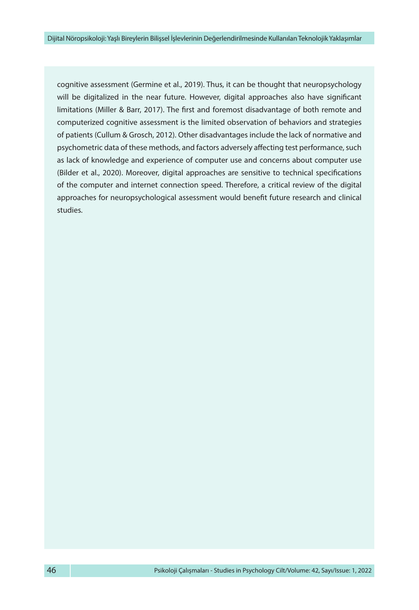cognitive assessment (Germine et al., 2019). Thus, it can be thought that neuropsychology will be digitalized in the near future. However, digital approaches also have significant limitations (Miller & Barr, 2017). The first and foremost disadvantage of both remote and computerized cognitive assessment is the limited observation of behaviors and strategies of patients (Cullum & Grosch, 2012). Other disadvantages include the lack of normative and psychometric data of these methods, and factors adversely affecting test performance, such as lack of knowledge and experience of computer use and concerns about computer use (Bilder et al., 2020). Moreover, digital approaches are sensitive to technical specifications of the computer and internet connection speed. Therefore, a critical review of the digital approaches for neuropsychological assessment would benefit future research and clinical studies.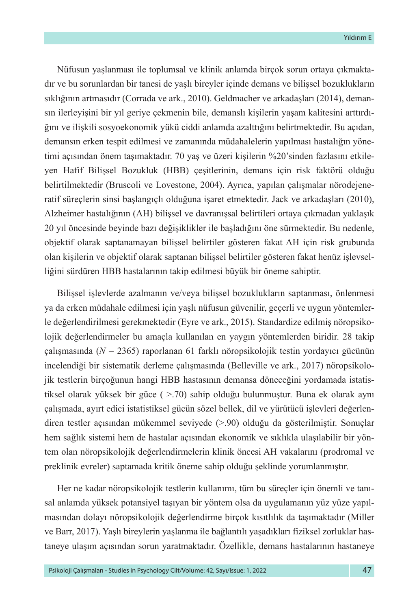Nüfusun yaşlanması ile toplumsal ve klinik anlamda birçok sorun ortaya çıkmaktadır ve bu sorunlardan bir tanesi de yaşlı bireyler içinde demans ve bilişsel bozuklukların sıklığının artmasıdır (Corrada ve ark., 2010). Geldmacher ve arkadaşları (2014), demansın ilerleyişini bir yıl geriye çekmenin bile, demanslı kişilerin yaşam kalitesini arttırdığını ve ilişkili sosyoekonomik yükü ciddi anlamda azalttığını belirtmektedir. Bu açıdan, demansın erken tespit edilmesi ve zamanında müdahalelerin yapılması hastalığın yönetimi açısından önem taşımaktadır. 70 yaş ve üzeri kişilerin %20'sinden fazlasını etkileyen Hafif Bilişsel Bozukluk (HBB) çeşitlerinin, demans için risk faktörü olduğu belirtilmektedir (Bruscoli ve Lovestone, 2004). Ayrıca, yapılan çalışmalar nörodejeneratif süreçlerin sinsi başlangıçlı olduğuna işaret etmektedir. Jack ve arkadaşları (2010), Alzheimer hastalığının (AH) bilişsel ve davranışsal belirtileri ortaya çıkmadan yaklaşık 20 yıl öncesinde beyinde bazı değişiklikler ile başladığını öne sürmektedir. Bu nedenle, objektif olarak saptanamayan bilişsel belirtiler gösteren fakat AH için risk grubunda olan kişilerin ve objektif olarak saptanan bilişsel belirtiler gösteren fakat henüz işlevselliğini sürdüren HBB hastalarının takip edilmesi büyük bir öneme sahiptir.

Bilişsel işlevlerde azalmanın ve/veya bilişsel bozuklukların saptanması, önlenmesi ya da erken müdahale edilmesi için yaşlı nüfusun güvenilir, geçerli ve uygun yöntemlerle değerlendirilmesi gerekmektedir (Eyre ve ark., 2015). Standardize edilmiş nöropsikolojik değerlendirmeler bu amaçla kullanılan en yaygın yöntemlerden biridir. 28 takip çalışmasında (*N* = 2365) raporlanan 61 farklı nöropsikolojik testin yordayıcı gücünün incelendiği bir sistematik derleme çalışmasında (Belleville ve ark., 2017) nöropsikolojik testlerin birçoğunun hangi HBB hastasının demansa döneceğini yordamada istatistiksel olarak yüksek bir güce ( >.70) sahip olduğu bulunmuştur. Buna ek olarak aynı çalışmada, ayırt edici istatistiksel gücün sözel bellek, dil ve yürütücü işlevleri değerlendiren testler açısından mükemmel seviyede (>.90) olduğu da gösterilmiştir. Sonuçlar hem sağlık sistemi hem de hastalar açısından ekonomik ve sıklıkla ulaşılabilir bir yöntem olan nöropsikolojik değerlendirmelerin klinik öncesi AH vakalarını (prodromal ve preklinik evreler) saptamada kritik öneme sahip olduğu şeklinde yorumlanmıştır.

Her ne kadar nöropsikolojik testlerin kullanımı, tüm bu süreçler için önemli ve tanısal anlamda yüksek potansiyel taşıyan bir yöntem olsa da uygulamanın yüz yüze yapılmasından dolayı nöropsikolojik değerlendirme birçok kısıtlılık da taşımaktadır (Miller ve Barr, 2017). Yaşlı bireylerin yaşlanma ile bağlantılı yaşadıkları fiziksel zorluklar hastaneye ulaşım açısından sorun yaratmaktadır. Özellikle, demans hastalarının hastaneye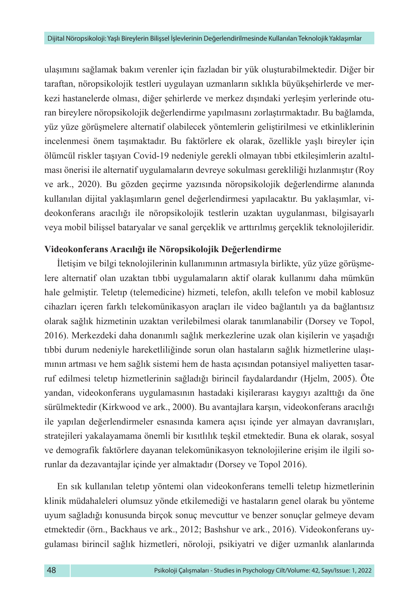ulaşımını sağlamak bakım verenler için fazladan bir yük oluşturabilmektedir. Diğer bir taraftan, nöropsikolojik testleri uygulayan uzmanların sıklıkla büyükşehirlerde ve merkezi hastanelerde olması, diğer şehirlerde ve merkez dışındaki yerleşim yerlerinde oturan bireylere nöropsikolojik değerlendirme yapılmasını zorlaştırmaktadır. Bu bağlamda, yüz yüze görüşmelere alternatif olabilecek yöntemlerin geliştirilmesi ve etkinliklerinin incelenmesi önem taşımaktadır. Bu faktörlere ek olarak, özellikle yaşlı bireyler için ölümcül riskler taşıyan Covid-19 nedeniyle gerekli olmayan tıbbi etkileşimlerin azaltılması önerisi ile alternatif uygulamaların devreye sokulması gerekliliği hızlanmıştır (Roy ve ark., 2020). Bu gözden geçirme yazısında nöropsikolojik değerlendirme alanında kullanılan dijital yaklaşımların genel değerlendirmesi yapılacaktır. Bu yaklaşımlar, videokonferans aracılığı ile nöropsikolojik testlerin uzaktan uygulanması, bilgisayarlı veya mobil bilişsel bataryalar ve sanal gerçeklik ve arttırılmış gerçeklik teknolojileridir.

## **Videokonferans Aracılığı ile Nöropsikolojik Değerlendirme**

İletişim ve bilgi teknolojilerinin kullanımının artmasıyla birlikte, yüz yüze görüşmelere alternatif olan uzaktan tıbbi uygulamaların aktif olarak kullanımı daha mümkün hale gelmiştir. Teletıp (telemedicine) hizmeti, telefon, akıllı telefon ve mobil kablosuz cihazları içeren farklı telekomünikasyon araçları ile video bağlantılı ya da bağlantısız olarak sağlık hizmetinin uzaktan verilebilmesi olarak tanımlanabilir (Dorsey ve Topol, 2016). Merkezdeki daha donanımlı sağlık merkezlerine uzak olan kişilerin ve yaşadığı tıbbi durum nedeniyle hareketliliğinde sorun olan hastaların sağlık hizmetlerine ulaşımının artması ve hem sağlık sistemi hem de hasta açısından potansiyel maliyetten tasarruf edilmesi teletıp hizmetlerinin sağladığı birincil faydalardandır (Hjelm, 2005). Öte yandan, videokonferans uygulamasının hastadaki kişilerarası kaygıyı azalttığı da öne sürülmektedir (Kirkwood ve ark., 2000). Bu avantajlara karşın, videokonferans aracılığı ile yapılan değerlendirmeler esnasında kamera açısı içinde yer almayan davranışları, stratejileri yakalayamama önemli bir kısıtlılık teşkil etmektedir. Buna ek olarak, sosyal ve demografik faktörlere dayanan telekomünikasyon teknolojilerine erişim ile ilgili sorunlar da dezavantajlar içinde yer almaktadır (Dorsey ve Topol 2016).

En sık kullanılan teletıp yöntemi olan videokonferans temelli teletıp hizmetlerinin klinik müdahaleleri olumsuz yönde etkilemediği ve hastaların genel olarak bu yönteme uyum sağladığı konusunda birçok sonuç mevcuttur ve benzer sonuçlar gelmeye devam etmektedir (örn., Backhaus ve ark., 2012; Bashshur ve ark., 2016). Videokonferans uygulaması birincil sağlık hizmetleri, nöroloji, psikiyatri ve diğer uzmanlık alanlarında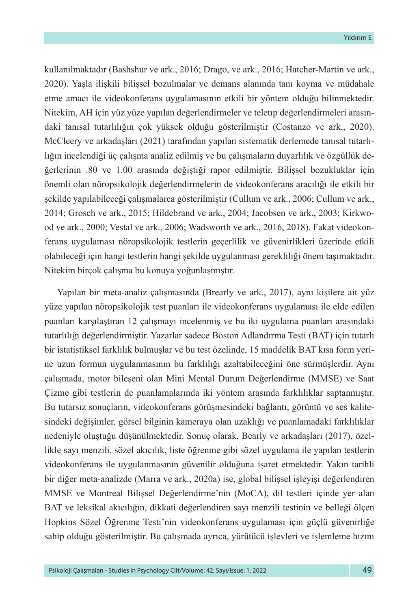kullanılmaktadır (Bashshur ve ark., 2016; Drago, ve ark., 2016; Hatcher-Martin ve ark., 2020). Yaşla ilişkili bilişsel bozulmalar ve demans alanında tanı koyma ve müdahale etme amacı ile videokonferans uygulamasının etkili bir yöntem olduğu bilinmektedir. Nitekim, AH için yüz yüze yapılan değerlendirmeler ve teletıp değerlendirmeleri arasındaki tanısal tutarlılığın çok yüksek olduğu gösterilmiştir (Costanzo ve ark., 2020). McCleery ve arkadaşları (2021) tarafından yapılan sistematik derlemede tanısal tutarlılığın incelendiği üç çalışma analiz edilmiş ve bu çalışmaların duyarlılık ve özgüllük değerlerinin .80 ve 1.00 arasında değiştiği rapor edilmiştir. Bilişsel bozukluklar için önemli olan nöropsikolojik değerlendirmelerin de videokonferans aracılığı ile etkili bir şekilde yapılabileceği çalışmalarca gösterilmiştir (Cullum ve ark., 2006; Cullum ve ark., 2014; Grosch ve ark., 2015; Hildebrand ve ark., 2004; Jacobsen ve ark., 2003; Kirkwood ve ark., 2000; Vestal ve ark., 2006; Wadsworth ve ark., 2016, 2018). Fakat videokonferans uygulaması nöropsikolojik testlerin geçerlilik ve güvenirlikleri üzerinde etkili olabileceği için hangi testlerin hangi şekilde uygulanması gerekliliği önem taşımaktadır. Nitekim birçok çalışma bu konuya yoğunlaşmıştır.

Yapılan bir meta-analiz çalışmasında (Brearly ve ark., 2017), aynı kişilere ait yüz yüze yapılan nöropsikolojik test puanları ile videokonferans uygulaması ile elde edilen puanları karşılaştıran 12 çalışmayı incelenmiş ve bu iki uygulama puanları arasındaki tutarlılığı değerlendirmiştir. Yazarlar sadece Boston Adlandırma Testi (BAT) için tutarlı bir istatistiksel farklılık bulmuşlar ve bu test özelinde, 15 maddelik BAT kısa form yerine uzun formun uygulanmasının bu farklılığı azaltabileceğini öne sürmüşlerdir. Aynı çalışmada, motor bileşeni olan Mini Mental Durum Değerlendirme (MMSE) ve Saat Çizme gibi testlerin de puanlamalarında iki yöntem arasında farklılıklar saptanmıştır. Bu tutarsız sonuçların, videokonferans görüşmesindeki bağlantı, görüntü ve ses kalitesindeki değişimler, görsel bilginin kameraya olan uzaklığı ve puanlamadaki farklılıklar nedeniyle oluştuğu düşünülmektedir. Sonuç olarak, Bearly ve arkadaşları (2017), özellikle sayı menzili, sözel akıcılık, liste öğrenme gibi sözel uygulama ile yapılan testlerin videokonferans ile uygulanmasının güvenilir olduğuna işaret etmektedir. Yakın tarihli bir diğer meta-analizde (Marra ve ark., 2020a) ise, global bilişsel işleyişi değerlendiren MMSE ve Montreal Bilişsel Değerlendirme'nin (MoCA), dil testleri içinde yer alan BAT ve leksikal akıcılığın, dikkati değerlendiren sayı menzili testinin ve belleği ölçen Hopkins Sözel Öğrenme Testi'nin videokonferans uygulaması için güçlü güvenirliğe sahip olduğu gösterilmiştir. Bu çalışmada ayrıca, yürütücü işlevleri ve işlemleme hızını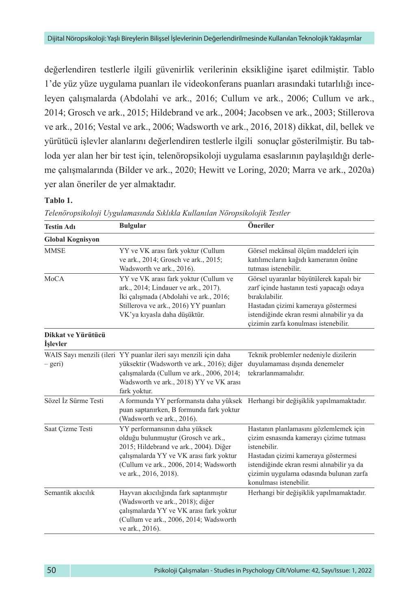değerlendiren testlerle ilgili güvenirlik verilerinin eksikliğine işaret edilmiştir. Tablo 1'de yüz yüze uygulama puanları ile videokonferans puanları arasındaki tutarlılığı inceleyen çalışmalarda (Abdolahi ve ark., 2016; Cullum ve ark., 2006; Cullum ve ark., 2014; Grosch ve ark., 2015; Hildebrand ve ark., 2004; Jacobsen ve ark., 2003; Stillerova ve ark., 2016; Vestal ve ark., 2006; Wadsworth ve ark., 2016, 2018) dikkat, dil, bellek ve yürütücü işlevler alanlarını değerlendiren testlerle ilgili sonuçlar gösterilmiştir. Bu tabloda yer alan her bir test için, telenöropsikoloji uygulama esaslarının paylaşıldığı derleme çalışmalarında (Bilder ve ark., 2020; Hewitt ve Loring, 2020; Marra ve ark., 2020a) yer alan öneriler de yer almaktadır.

#### **Tablo 1.**

| <b>Testin Adı</b>                                   | <b>Bulgular</b>                                                                                                                                                                                                              | Öneriler                                                                                                                                                                                                                                                   |
|-----------------------------------------------------|------------------------------------------------------------------------------------------------------------------------------------------------------------------------------------------------------------------------------|------------------------------------------------------------------------------------------------------------------------------------------------------------------------------------------------------------------------------------------------------------|
| <b>Global Kognisyon</b>                             |                                                                                                                                                                                                                              |                                                                                                                                                                                                                                                            |
| <b>MMSE</b>                                         | YY ve VK arası fark yoktur (Cullum<br>ve ark., 2014; Grosch ve ark., 2015;<br>Wadsworth ve ark., 2016).                                                                                                                      | Görsel mekânsal ölçüm maddeleri için<br>katılımcıların kağıdı kameranın önüne<br>tutması istenebilir.                                                                                                                                                      |
| <b>MoCA</b>                                         | YY ve VK arası fark yoktur (Cullum ve<br>ark., 2014; Lindauer ve ark., 2017).<br>İki çalışmada (Abdolahi ve ark., 2016;<br>Stillerova ve ark., 2016) YY puanları<br>VK'ya kıyasla daha düşüktür.                             | Görsel uyaranlar büyütülerek kapalı bir<br>zarf içinde hastanın testi yapacağı odaya<br>bırakılabilir.<br>Hastadan çizimi kameraya göstermesi<br>istendiğinde ekran resmi alınabilir ya da<br>cizimin zarfa konulması istenebilir.                         |
| Dikkat ve Yürütücü<br><i><u><b>İslevler</b></u></i> |                                                                                                                                                                                                                              |                                                                                                                                                                                                                                                            |
| – geri)                                             | WAIS Sayı menzili (ileri YY puanlar ileri sayı menzili için daha<br>yüksektir (Wadsworth ve ark., 2016); diğer<br>çalışmalarda (Cullum ve ark., 2006, 2014;<br>Wadsworth ve ark., 2018) YY ve VK arası<br>fark yoktur.       | Teknik problemler nedeniyle dizilerin<br>duyulamaması dışında denemeler<br>tekrarlanmamalıdır.                                                                                                                                                             |
| Sözel İz Sürme Testi                                | A formunda YY performansta daha yüksek<br>puan saptanırken, B formunda fark yoktur<br>(Wadsworth ve ark., 2016).                                                                                                             | Herhangi bir değişiklik yapılmamaktadır.                                                                                                                                                                                                                   |
| Saat Cizme Testi                                    | YY performansının daha yüksek<br>olduğu bulunmuştur (Grosch ve ark.,<br>2015; Hildebrand ve ark., 2004). Diğer<br>çalışmalarda YY ve VK arası fark yoktur<br>(Cullum ve ark., 2006, 2014; Wadsworth<br>ve ark., 2016, 2018). | Hastanın planlamasını gözlemlemek için<br>çizim esnasında kamerayı çizime tutması<br>istenebilir.<br>Hastadan çizimi kameraya göstermesi<br>istendiğinde ekran resmi alınabilir ya da<br>çizimin uygulama odasında bulunan zarfa<br>konulması istenebilir. |
| Semantik akıcılık                                   | Hayvan akıcılığında fark saptanmıştır<br>(Wadsworth ve ark., 2018); diğer<br>çalışmalarda YY ve VK arası fark yoktur<br>(Cullum ve ark., 2006, 2014; Wadsworth<br>ve ark., 2016).                                            | Herhangi bir değişiklik yapılmamaktadır.                                                                                                                                                                                                                   |

*Telenöropsikoloji Uygulamasında Sıklıkla Kullanılan Nöropsikolojik Testler*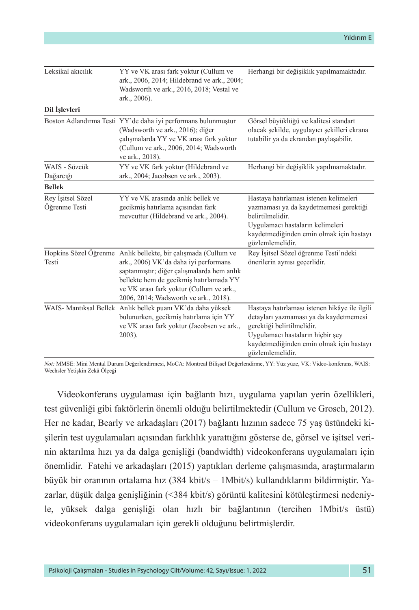| Leksikal akıcılık                  | YY ve VK arası fark yoktur (Cullum ve<br>ark., 2006, 2014; Hildebrand ve ark., 2004;<br>Wadsworth ve ark., 2016, 2018; Vestal ve<br>ark., 2006).                                                                                                                                      | Herhangi bir değişiklik yapılmamaktadır.                                                                                                                                                                                  |
|------------------------------------|---------------------------------------------------------------------------------------------------------------------------------------------------------------------------------------------------------------------------------------------------------------------------------------|---------------------------------------------------------------------------------------------------------------------------------------------------------------------------------------------------------------------------|
| Dil İşlevleri                      |                                                                                                                                                                                                                                                                                       |                                                                                                                                                                                                                           |
|                                    | Boston Adlandırma Testi YY'de daha iyi performans bulunmuştur<br>(Wadsworth ve ark., 2016); diğer<br>çalışmalarda YY ve VK arası fark yoktur<br>(Cullum ve ark., 2006, 2014; Wadsworth<br>ve ark., 2018).                                                                             | Görsel büyüklüğü ve kalitesi standart<br>olacak şekilde, uygulayıcı şekilleri ekrana<br>tutabilir ya da ekrandan paylaşabilir.                                                                                            |
| WAIS - Sözcük<br>Dağarcığı         | YY ve VK fark yoktur (Hildebrand ve<br>ark., 2004; Jacobsen ve ark., 2003).                                                                                                                                                                                                           | Herhangi bir değişiklik yapılmamaktadır.                                                                                                                                                                                  |
| <b>Bellek</b>                      |                                                                                                                                                                                                                                                                                       |                                                                                                                                                                                                                           |
| Rey İşitsel Sözel<br>Öğrenme Testi | YY ve VK arasında anlık bellek ve<br>gecikmiş hatırlama açısından fark<br>mevcuttur (Hildebrand ve ark., 2004).                                                                                                                                                                       | Hastaya hatırlaması istenen kelimeleri<br>yazmaması ya da kaydetmemesi gerektiği<br>belirtilmelidir.<br>Uygulamacı hastaların kelimeleri<br>kaydetmediğinden emin olmak için hastayı<br>gözlemlemelidir.                  |
| Testi                              | Hopkins Sözel Öğrenme Anlık bellekte, bir çalışmada (Cullum ve<br>ark., 2006) VK'da daha iyi performans<br>saptanmıştır; diğer çalışmalarda hem anlık<br>bellekte hem de gecikmiş hatırlamada YY<br>ve VK arası fark yoktur (Cullum ve ark.,<br>2006, 2014; Wadsworth ve ark., 2018). | Rey İşitsel Sözel öğrenme Testi'ndeki<br>önerilerin aynısı geçerlidir.                                                                                                                                                    |
|                                    | WAIS- Mantıksal Bellek Anlık bellek puanı VK'da daha yüksek<br>bulunurken, gecikmiş hatırlama için YY<br>ve VK arası fark yoktur (Jacobsen ve ark.,<br>2003).                                                                                                                         | Hastaya hatırlaması istenen hikâye ile ilgili<br>detayları yazmaması ya da kaydetmemesi<br>gerektiği belirtilmelidir.<br>Uygulamacı hastaların hiçbir şey<br>kaydetmediğinden emin olmak için hastayı<br>gözlemlemelidir. |

*Not:* MMSE: Mini Mental Durum Değerlendirmesi, MoCA: Montreal Bilişsel Değerlendirme, YY: Yüz yüze, VK: Video-konferans, WAIS: Wechsler Yetişkin Zekâ Ölçeği

Videokonferans uygulaması için bağlantı hızı, uygulama yapılan yerin özellikleri, test güvenliği gibi faktörlerin önemli olduğu belirtilmektedir (Cullum ve Grosch, 2012). Her ne kadar, Bearly ve arkadaşları (2017) bağlantı hızının sadece 75 yaş üstündeki kişilerin test uygulamaları açısından farklılık yarattığını gösterse de, görsel ve işitsel verinin aktarılma hızı ya da dalga genişliği (bandwidth) videokonferans uygulamaları için önemlidir. Fatehi ve arkadaşları (2015) yaptıkları derleme çalışmasında, araştırmaların büyük bir oranının ortalama hız (384 kbit/s – 1Mbit/s) kullandıklarını bildirmiştir. Yazarlar, düşük dalga genişliğinin (<384 kbit/s) görüntü kalitesini kötüleştirmesi nedeniyle, yüksek dalga genişliği olan hızlı bir bağlantının (tercihen 1Mbit/s üstü) videokonferans uygulamaları için gerekli olduğunu belirtmişlerdir.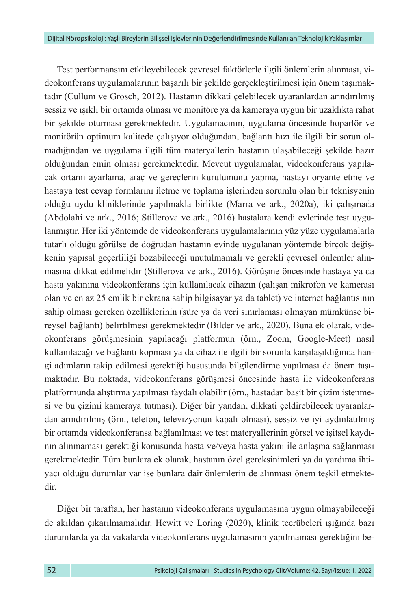Test performansını etkileyebilecek çevresel faktörlerle ilgili önlemlerin alınması, videokonferans uygulamalarının başarılı bir şekilde gerçekleştirilmesi için önem taşımaktadır (Cullum ve Grosch, 2012). Hastanın dikkati çelebilecek uyaranlardan arındırılmış sessiz ve ışıklı bir ortamda olması ve monitöre ya da kameraya uygun bir uzaklıkta rahat bir şekilde oturması gerekmektedir. Uygulamacının, uygulama öncesinde hoparlör ve monitörün optimum kalitede çalışıyor olduğundan, bağlantı hızı ile ilgili bir sorun olmadığından ve uygulama ilgili tüm materyallerin hastanın ulaşabileceği şekilde hazır olduğundan emin olması gerekmektedir. Mevcut uygulamalar, videokonferans yapılacak ortamı ayarlama, araç ve gereçlerin kurulumunu yapma, hastayı oryante etme ve hastaya test cevap formlarını iletme ve toplama işlerinden sorumlu olan bir teknisyenin olduğu uydu kliniklerinde yapılmakla birlikte (Marra ve ark., 2020a), iki çalışmada (Abdolahi ve ark., 2016; Stillerova ve ark., 2016) hastalara kendi evlerinde test uygulanmıştır. Her iki yöntemde de videokonferans uygulamalarının yüz yüze uygulamalarla tutarlı olduğu görülse de doğrudan hastanın evinde uygulanan yöntemde birçok değişkenin yapısal geçerliliği bozabileceği unutulmamalı ve gerekli çevresel önlemler alınmasına dikkat edilmelidir (Stillerova ve ark., 2016). Görüşme öncesinde hastaya ya da hasta yakınına videokonferans için kullanılacak cihazın (çalışan mikrofon ve kamerası olan ve en az 25 cmlik bir ekrana sahip bilgisayar ya da tablet) ve internet bağlantısının sahip olması gereken özelliklerinin (süre ya da veri sınırlaması olmayan mümkünse bireysel bağlantı) belirtilmesi gerekmektedir (Bilder ve ark., 2020). Buna ek olarak, videokonferans görüşmesinin yapılacağı platformun (örn., Zoom, Google-Meet) nasıl kullanılacağı ve bağlantı kopması ya da cihaz ile ilgili bir sorunla karşılaşıldığında hangi adımların takip edilmesi gerektiği hususunda bilgilendirme yapılması da önem taşımaktadır. Bu noktada, videokonferans görüşmesi öncesinde hasta ile videokonferans platformunda alıştırma yapılması faydalı olabilir (örn., hastadan basit bir çizim istenmesi ve bu çizimi kameraya tutması). Diğer bir yandan, dikkati çeldirebilecek uyaranlardan arındırılmış (örn., telefon, televizyonun kapalı olması), sessiz ve iyi aydınlatılmış bir ortamda videokonferansa bağlanılması ve test materyallerinin görsel ve işitsel kaydının alınmaması gerektiği konusunda hasta ve/veya hasta yakını ile anlaşma sağlanması gerekmektedir. Tüm bunlara ek olarak, hastanın özel gereksinimleri ya da yardıma ihtiyacı olduğu durumlar var ise bunlara dair önlemlerin de alınması önem teşkil etmektedir.

Diğer bir taraftan, her hastanın videokonferans uygulamasına uygun olmayabileceği de akıldan çıkarılmamalıdır. Hewitt ve Loring (2020), klinik tecrübeleri ışığında bazı durumlarda ya da vakalarda videokonferans uygulamasının yapılmaması gerektiğini be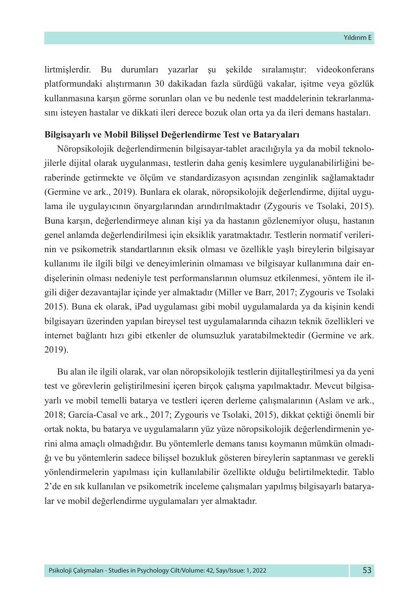lirtmişlerdir. Bu durumları yazarlar şu şekilde sıralamıştır: videokonferans platformundaki alıştırmanın 30 dakikadan fazla sürdüğü vakalar, işitme veya gözlük kullanmasına karşın görme sorunları olan ve bu nedenle test maddelerinin tekrarlanmasını isteyen hastalar ve dikkati ileri derece bozuk olan orta ya da ileri demans hastaları.

## **Bilgisayarlı ve Mobil Bilişsel Değerlendirme Test ve Bataryaları**

Nöropsikolojik değerlendirmenin bilgisayar-tablet aracılığıyla ya da mobil teknolojilerle dijital olarak uygulanması, testlerin daha geniş kesimlere uygulanabilirliğini beraberinde getirmekte ve ölçüm ve standardizasyon açısından zenginlik sağlamaktadır (Germine ve ark., 2019). Bunlara ek olarak, nöropsikolojik değerlendirme, dijital uygulama ile uygulayıcının önyargılarından arındırılmaktadır (Zygouris ve Tsolaki, 2015). Buna karşın, değerlendirmeye alınan kişi ya da hastanın gözlenemiyor oluşu, hastanın genel anlamda değerlendirilmesi için eksiklik yaratmaktadır. Testlerin normatif verilerinin ve psikometrik standartlarının eksik olması ve özellikle yaşlı bireylerin bilgisayar kullanımı ile ilgili bilgi ve deneyimlerinin olmaması ve bilgisayar kullanımına dair endişelerinin olması nedeniyle test performanslarının olumsuz etkilenmesi, yöntem ile ilgili diğer dezavantajlar içinde yer almaktadır (Miller ve Barr, 2017; Zygouris ve Tsolaki 2015). Buna ek olarak, iPad uygulaması gibi mobil uygulamalarda ya da kişinin kendi bilgisayarı üzerinden yapılan bireysel test uygulamalarında cihazın teknik özellikleri ve internet bağlantı hızı gibi etkenler de olumsuzluk yaratabilmektedir (Germine ve ark. 2019).

Bu alan ile ilgili olarak, var olan nöropsikolojik testlerin dijitalleştirilmesi ya da yeni test ve görevlerin geliştirilmesini içeren birçok çalışma yapılmaktadır. Mevcut bilgisayarlı ve mobil temelli batarya ve testleri içeren derleme çalışmalarının (Aslam ve ark., 2018; García-Casal ve ark., 2017; Zygouris ve Tsolaki, 2015), dikkat çektiği önemli bir ortak nokta, bu batarya ve uygulamaların yüz yüze nöropsikolojik değerlendirmenin yerini alma amaçlı olmadığıdır. Bu yöntemlerle demans tanısı koymanın mümkün olmadığı ve bu yöntemlerin sadece bilişsel bozukluk gösteren bireylerin saptanması ve gerekli yönlendirmelerin yapılması için kullanılabilir özellikte olduğu belirtilmektedir. Tablo 2'de en sık kullanılan ve psikometrik inceleme çalışmaları yapılmış bilgisayarlı bataryalar ve mobil değerlendirme uygulamaları yer almaktadır.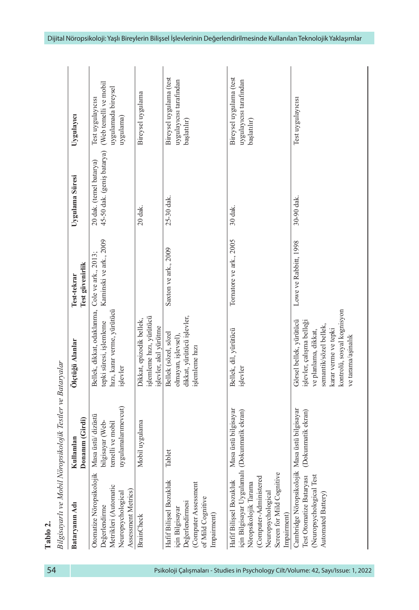| Bataryanın Adı                                                                                                                                                             | Donanım (Girdi)<br>Kullanılan                                                    | Ölçtüğü Alanlar<br>Bilgisayarlı ve Mobil Nöropsikolojik Testler ve Bataryalar                                                                                                      | Test güvenirlik<br>Test-tekrar | Uygulama Süresi                                       | Uygulayıcı                                                                     |
|----------------------------------------------------------------------------------------------------------------------------------------------------------------------------|----------------------------------------------------------------------------------|------------------------------------------------------------------------------------------------------------------------------------------------------------------------------------|--------------------------------|-------------------------------------------------------|--------------------------------------------------------------------------------|
| Otomatize Nöropsikolojik<br>Metrikleri (Automatic<br>Assessment Metrics)<br>Neuropsychological<br>Değerlendirme                                                            | uygulamalarımevcut)<br>Masa üstü/dizüstü<br>bilgisayar (Web-<br>temelli ve mobil | Bellek, dikkat, odaklanma, Cole ve ark., 2013;<br>hızı, karar verme, yürütücü<br>tepki süresi, işlemleme<br>işlevler                                                               | Kaminski ve ark., 2009         | 45-50 dak. (geniş batarya)<br>20 dak. (temel batarya) | (Web temelli ve mobil<br>uygulamada bireysel<br>Test uygulayıcısı<br>uygulama) |
| <b>BrainCheck</b>                                                                                                                                                          | Mobil uygulama                                                                   | işlemleme hızı, yürütücü<br>Dikkat, epizodik bellek,<br>işlevler, akıl yürütme                                                                                                     |                                | 20 dak.                                               | Bireysel uygulama                                                              |
| Hafif Bilişsel Bozukluk<br>Computer Assessment<br>of Mild Cognitive<br>Değerlendirmesi<br>için Bilgisayar<br>Impairment)                                                   | Tablet                                                                           | dikkat, yürütücü işlevler,<br>Bellek (sözel, sözel<br>olmayan, işlevsel),<br>işlemleme hızı                                                                                        | Saxton ve ark., 2009           | 25-30 dak.                                            | Bireysel uygulama (test<br>uygulayıcısı tarafından<br>başlatılır)              |
| için Bilgisayar Uygulamalı<br>Screen for Mild Cognitive<br>(Computer-Administered<br>Hafif Bilişsel Bozukluk<br>Nöropsikolojik Tarama<br>Neuropsychological<br>Impairment) | Masa üstü bilgisayar<br>(Dokunmatik ekran)                                       | Bellek, dil, yürütücü<br>işlevler                                                                                                                                                  | Tornatore ve ark., 2005        | 30 dak.                                               | Bireysel uygulama (test<br>uygulayıcısı tarafından<br>başlatılır)              |
| Cambridge Nöropsikolojik<br>(Neuropsychological Test<br>Test Otomatize Bataryası<br>Automated Battery                                                                      | Masa üstü bilgisayar<br>(Dokunmatik ekran)                                       | kontrolü, sosyal kognisyon<br>Görsel bellek, yürütücü<br>işlevler, çalışma belleği<br>semantik/sözel bellek,<br>karar verme ve tepki<br>ve planlama, dikkat,<br>ve tarama/aşinalık | Lowe ve Rabbitt, 1998          | 30-90 dak.                                            | Test uygulayıcısı                                                              |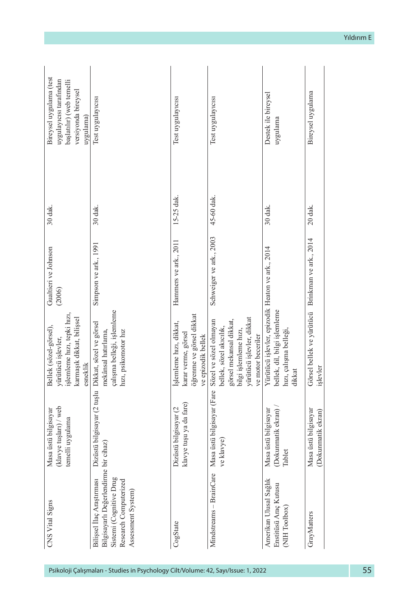|                                                                                                                                   | (klavye tuşları) / web<br>Masa üstü bilgisayar<br>temelli uygulama | şlemleme hızı, tepki hızı,<br>karmaşık dikkat, bilişsel<br>yürütücü işlevler,<br>esneklik                                                                | (2006)                  |            | uygulayıcısı tarafından<br>başlatılır) (web temelli<br>versiyonda bireysel<br>uygulama) |
|-----------------------------------------------------------------------------------------------------------------------------------|--------------------------------------------------------------------|----------------------------------------------------------------------------------------------------------------------------------------------------------|-------------------------|------------|-----------------------------------------------------------------------------------------|
| Bilgisayarlı Değerlendirme<br>Sistemi (Cognitive Drug<br>Bilişsel İlaç Araştırması<br>Research Computerized<br>Assessment System) | Dizüstü bilgisayar (2 tuşlu Dikkat, sözel ve görsel<br>bir cihaz)  | çalışma belleği, işlemleme<br>mekânsal hatırlama,<br>hızı, psikomotor hız                                                                                | Simpson ve ark., 1991   | 30 dak.    | Test uygulayıcısı                                                                       |
| CogState                                                                                                                          | klavye tuşu ya da fare)<br>Dizüstü bilgisayar (2                   | öğrenme ve görsel dikkat<br>Işlemleme hızı, dikkat,<br>karar verme, görsel<br>ve epizodik bellek                                                         | Hammers ve ark., 2011   | 15-25 dak. | Test uygulayıcısı                                                                       |
| Mindstreams - BrainCare                                                                                                           | Masa üstü bilgisayar (Fare<br>ve klavye)                           | yürütücü işlevler, dikkat<br>görsel mekansal dikkat,<br>Sözel ve sözel olmayan<br>bellek, sözel akıcılık,<br>bilgi işlemleme hızı,<br>ve motor beceriler | Schweiger ve ark., 2003 | 45-60 dak. | Test uygulayıcısı                                                                       |
| Amerikan Ulusal Sağlık<br>Enstitüsü Araç Kutusu<br>NIH Toolbox)                                                                   | (Dokunmatik ekran).<br>Masa üstü bilgisayar<br>Tablet              | Yürütücü işlevler, epizodik Heaton ve ark., 2014<br>bellek, dil, bilgi işlemleme<br>hızı, çalışma belleği,<br>dikkat                                     |                         | 30 dak.    | Destek ile bireysel<br>uygulama                                                         |
| GrayMatters                                                                                                                       | Masa üstü bilgisayar<br>(Dokunmatik ekran)                         | Görsel bellek ve yürütücü<br>işlevler                                                                                                                    | Brinkman ve ark., 2014  | 20 dak.    | Bireysel uygulama                                                                       |

Yıldırım E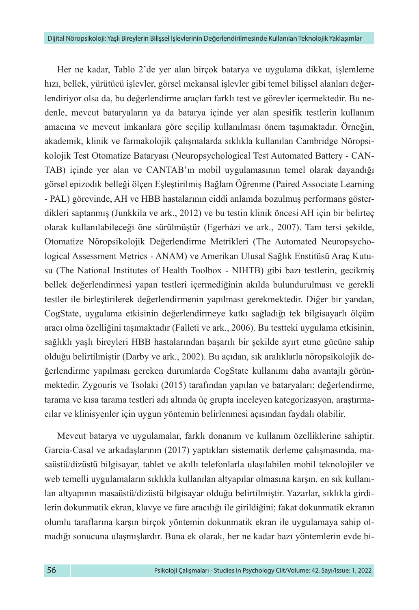Her ne kadar, Tablo 2'de yer alan birçok batarya ve uygulama dikkat, işlemleme hızı, bellek, yürütücü işlevler, görsel mekansal işlevler gibi temel bilişsel alanları değerlendiriyor olsa da, bu değerlendirme araçları farklı test ve görevler içermektedir. Bu nedenle, mevcut bataryaların ya da batarya içinde yer alan spesifik testlerin kullanım amacına ve mevcut imkanlara göre seçilip kullanılması önem taşımaktadır. Örneğin, akademik, klinik ve farmakolojik çalışmalarda sıklıkla kullanılan Cambridge Nöropsikolojik Test Otomatize Bataryası (Neuropsychological Test Automated Battery - CAN-TAB) içinde yer alan ve CANTAB'ın mobil uygulamasının temel olarak dayandığı görsel epizodik belleği ölçen Eşleştirilmiş Bağlam Öğrenme (Paired Associate Learning - PAL) görevinde, AH ve HBB hastalarının ciddi anlamda bozulmuş performans gösterdikleri saptanmış (Junkkila ve ark., 2012) ve bu testin klinik öncesi AH için bir belirteç olarak kullanılabileceği öne sürülmüştür (Egerházi ve ark., 2007). Tam tersi şekilde, Otomatize Nöropsikolojik Değerlendirme Metrikleri (The Automated Neuropsychological Assessment Metrics - ANAM) ve Amerikan Ulusal Sağlık Enstitüsü Araç Kutusu (The National Institutes of Health Toolbox - NIHTB) gibi bazı testlerin, gecikmiş bellek değerlendirmesi yapan testleri içermediğinin akılda bulundurulması ve gerekli testler ile birleştirilerek değerlendirmenin yapılması gerekmektedir. Diğer bir yandan, CogState, uygulama etkisinin değerlendirmeye katkı sağladığı tek bilgisayarlı ölçüm aracı olma özelliğini taşımaktadır (Falleti ve ark., 2006). Bu testteki uygulama etkisinin, sağlıklı yaşlı bireyleri HBB hastalarından başarılı bir şekilde ayırt etme gücüne sahip olduğu belirtilmiştir (Darby ve ark., 2002). Bu açıdan, sık aralıklarla nöropsikolojik değerlendirme yapılması gereken durumlarda CogState kullanımı daha avantajlı görünmektedir. Zygouris ve Tsolaki (2015) tarafından yapılan ve bataryaları; değerlendirme, tarama ve kısa tarama testleri adı altında üç grupta inceleyen kategorizasyon, araştırmacılar ve klinisyenler için uygun yöntemin belirlenmesi açısından faydalı olabilir.

Mevcut batarya ve uygulamalar, farklı donanım ve kullanım özelliklerine sahiptir. Garcia-Casal ve arkadaşlarının (2017) yaptıkları sistematik derleme çalışmasında, masaüstü/dizüstü bilgisayar, tablet ve akıllı telefonlarla ulaşılabilen mobil teknolojiler ve web temelli uygulamaların sıklıkla kullanılan altyapılar olmasına karşın, en sık kullanılan altyapının masaüstü/dizüstü bilgisayar olduğu belirtilmiştir. Yazarlar, sıklıkla girdilerin dokunmatik ekran, klavye ve fare aracılığı ile girildiğini; fakat dokunmatik ekranın olumlu taraflarına karşın birçok yöntemin dokunmatik ekran ile uygulamaya sahip olmadığı sonucuna ulaşmışlardır. Buna ek olarak, her ne kadar bazı yöntemlerin evde bi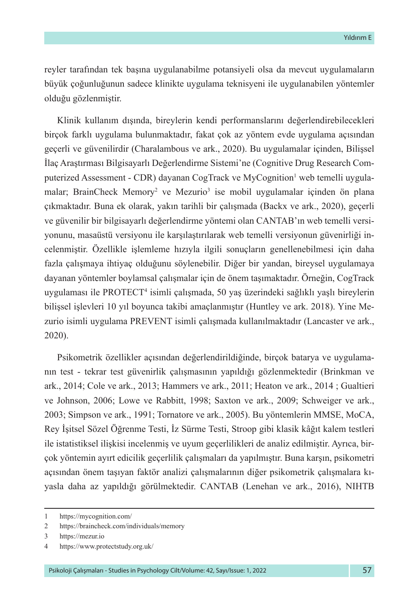reyler tarafından tek başına uygulanabilme potansiyeli olsa da mevcut uygulamaların büyük çoğunluğunun sadece klinikte uygulama teknisyeni ile uygulanabilen yöntemler olduğu gözlenmiştir.

Klinik kullanım dışında, bireylerin kendi performanslarını değerlendirebilecekleri birçok farklı uygulama bulunmaktadır, fakat çok az yöntem evde uygulama açısından geçerli ve güvenilirdir (Charalambous ve ark., 2020). Bu uygulamalar içinden, Bilişsel İlaç Araştırması Bilgisayarlı Değerlendirme Sistemi'ne (Cognitive Drug Research Computerized Assessment - CDR) dayanan CogTrack ve MyCognition<sup>1</sup> web temelli uygulamalar; BrainCheck Memory<sup>2</sup> ve Mezurio<sup>3</sup> ise mobil uygulamalar içinden ön plana çıkmaktadır. Buna ek olarak, yakın tarihli bir çalışmada (Backx ve ark., 2020), geçerli ve güvenilir bir bilgisayarlı değerlendirme yöntemi olan CANTAB'ın web temelli versiyonunu, masaüstü versiyonu ile karşılaştırılarak web temelli versiyonun güvenirliği incelenmiştir. Özellikle işlemleme hızıyla ilgili sonuçların genellenebilmesi için daha fazla çalışmaya ihtiyaç olduğunu söylenebilir. Diğer bir yandan, bireysel uygulamaya dayanan yöntemler boylamsal çalışmalar için de önem taşımaktadır. Örneğin, CogTrack uygulaması ile PROTECT<sup>4</sup> isimli çalışmada, 50 yaş üzerindeki sağlıklı yaşlı bireylerin bilişsel işlevleri 10 yıl boyunca takibi amaçlanmıştır (Huntley ve ark. 2018). Yine Mezurio isimli uygulama PREVENT isimli çalışmada kullanılmaktadır (Lancaster ve ark., 2020).

Psikometrik özellikler açısından değerlendirildiğinde, birçok batarya ve uygulamanın test - tekrar test güvenirlik çalışmasının yapıldığı gözlenmektedir (Brinkman ve ark., 2014; Cole ve ark., 2013; Hammers ve ark., 2011; Heaton ve ark., 2014 ; Gualtieri ve Johnson, 2006; Lowe ve Rabbitt, 1998; Saxton ve ark., 2009; Schweiger ve ark., 2003; Simpson ve ark., 1991; Tornatore ve ark., 2005). Bu yöntemlerin MMSE, MoCA, Rey İşitsel Sözel Öğrenme Testi, İz Sürme Testi, Stroop gibi klasik kâğıt kalem testleri ile istatistiksel ilişkisi incelenmiş ve uyum geçerlilikleri de analiz edilmiştir. Ayrıca, birçok yöntemin ayırt edicilik geçerlilik çalışmaları da yapılmıştır. Buna karşın, psikometri açısından önem taşıyan faktör analizi çalışmalarının diğer psikometrik çalışmalara kıyasla daha az yapıldığı görülmektedir. CANTAB (Lenehan ve ark., 2016), NIHTB

<sup>1</sup> https://mycognition.com/

<sup>2</sup> https://braincheck.com/individuals/memory

<sup>3</sup> https://mezur.io

<sup>4</sup> https://www.protectstudy.org.uk/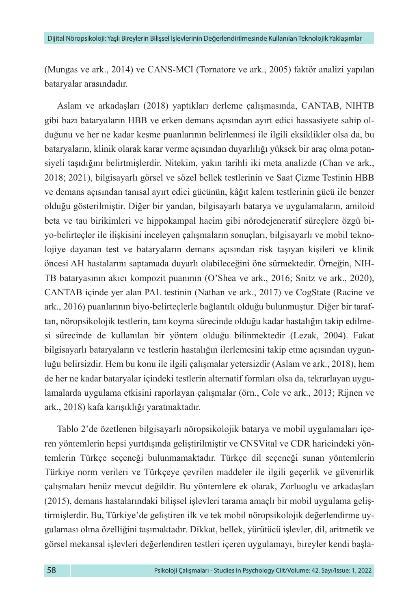(Mungas ve ark., 2014) ve CANS-MCI (Tornatore ve ark., 2005) faktör analizi yapılan bataryalar arasındadır.

Aslam ve arkadaşları (2018) yaptıkları derleme çalışmasında, CANTAB, NIHTB gibi bazı bataryaların HBB ve erken demans açısından ayırt edici hassasiyete sahip olduğunu ve her ne kadar kesme puanlarının belirlenmesi ile ilgili eksiklikler olsa da, bu bataryaların, klinik olarak karar verme açısından duyarlılığı yüksek bir araç olma potansiyeli taşıdığını belirtmişlerdir. Nitekim, yakın tarihli iki meta analizde (Chan ve ark., 2018; 2021), bilgisayarlı görsel ve sözel bellek testlerinin ve Saat Çizme Testinin HBB ve demans açısından tanısal ayırt edici gücünün, kâğıt kalem testlerinin gücü ile benzer olduğu gösterilmiştir. Diğer bir yandan, bilgisayarlı batarya ve uygulamaların, amiloid beta ve tau birikimleri ve hippokampal hacim gibi nörodejeneratif süreçlere özgü biyo-belirteçler ile ilişkisini inceleyen çalışmaların sonuçları, bilgisayarlı ve mobil teknolojiye dayanan test ve bataryaların demans açısından risk taşıyan kişileri ve klinik öncesi AH hastalarını saptamada duyarlı olabileceğini öne sürmektedir. Örneğin, NIH-TB bataryasının akıcı kompozit puanının (O'Shea ve ark., 2016; Snitz ve ark., 2020), CANTAB içinde yer alan PAL testinin (Nathan ve ark., 2017) ve CogState (Racine ve ark., 2016) puanlarının biyo-belirteçlerle bağlantılı olduğu bulunmuştur. Diğer bir taraftan, nöropsikolojik testlerin, tanı koyma sürecinde olduğu kadar hastalığın takip edilmesi sürecinde de kullanılan bir yöntem olduğu bilinmektedir (Lezak, 2004). Fakat bilgisayarlı bataryaların ve testlerin hastalığın ilerlemesini takip etme açısından uygunluğu belirsizdir. Hem bu konu ile ilgili çalışmalar yetersizdir (Aslam ve ark., 2018), hem de her ne kadar bataryalar içindeki testlerin alternatif formları olsa da, tekrarlayan uygulamalarda uygulama etkisini raporlayan çalışmalar (örn., Cole ve ark., 2013; Rijnen ve ark., 2018) kafa karışıklığı yaratmaktadır.

Tablo 2'de özetlenen bilgisayarlı nöropsikolojik batarya ve mobil uygulamaları içeren yöntemlerin hepsi yurtdışında geliştirilmiştir ve CNSVital ve CDR haricindeki yöntemlerin Türkçe seçeneği bulunmamaktadır. Türkçe dil seçeneği sunan yöntemlerin Türkiye norm verileri ve Türkçeye çevrilen maddeler ile ilgili geçerlik ve güvenirlik çalışmaları henüz mevcut değildir. Bu yöntemlere ek olarak, Zorluoglu ve arkadaşları (2015), demans hastalarındaki bilişsel işlevleri tarama amaçlı bir mobil uygulama geliştirmişlerdir. Bu, Türkiye'de geliştiren ilk ve tek mobil nöropsikolojik değerlendirme uygulaması olma özelliğini taşımaktadır. Dikkat, bellek, yürütücü işlevler, dil, aritmetik ve görsel mekansal işlevleri değerlendiren testleri içeren uygulamayı, bireyler kendi başla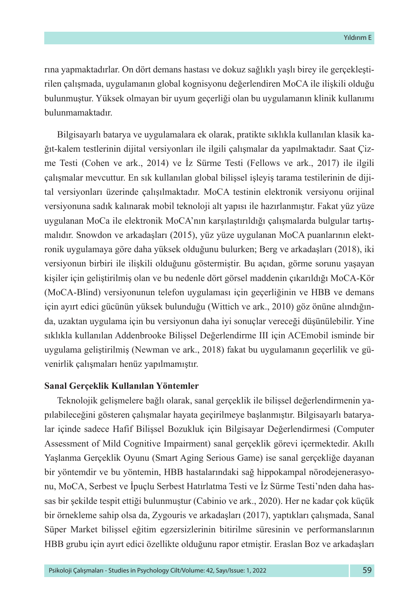rına yapmaktadırlar. On dört demans hastası ve dokuz sağlıklı yaşlı birey ile gerçekleştirilen çalışmada, uygulamanın global kognisyonu değerlendiren MoCA ile ilişkili olduğu bulunmuştur. Yüksek olmayan bir uyum geçerliği olan bu uygulamanın klinik kullanımı bulunmamaktadır.

Bilgisayarlı batarya ve uygulamalara ek olarak, pratikte sıklıkla kullanılan klasik kağıt-kalem testlerinin dijital versiyonları ile ilgili çalışmalar da yapılmaktadır. Saat Çizme Testi (Cohen ve ark., 2014) ve İz Sürme Testi (Fellows ve ark., 2017) ile ilgili çalışmalar mevcuttur. En sık kullanılan global bilişsel işleyiş tarama testilerinin de dijital versiyonları üzerinde çalışılmaktadır. MoCA testinin elektronik versiyonu orijinal versiyonuna sadık kalınarak mobil teknoloji alt yapısı ile hazırlanmıştır. Fakat yüz yüze uygulanan MoCa ile elektronik MoCA'nın karşılaştırıldığı çalışmalarda bulgular tartışmalıdır. Snowdon ve arkadaşları (2015), yüz yüze uygulanan MoCA puanlarının elektronik uygulamaya göre daha yüksek olduğunu bulurken; Berg ve arkadaşları (2018), iki versiyonun birbiri ile ilişkili olduğunu göstermiştir. Bu açıdan, görme sorunu yaşayan kişiler için geliştirilmiş olan ve bu nedenle dört görsel maddenin çıkarıldığı MoCA-Kör (MoCA-Blind) versiyonunun telefon uygulaması için geçerliğinin ve HBB ve demans için ayırt edici gücünün yüksek bulunduğu (Wittich ve ark., 2010) göz önüne alındığında, uzaktan uygulama için bu versiyonun daha iyi sonuçlar vereceği düşünülebilir. Yine sıklıkla kullanılan Addenbrooke Bilişsel Değerlendirme III için ACEmobil isminde bir uygulama geliştirilmiş (Newman ve ark., 2018) fakat bu uygulamanın geçerlilik ve güvenirlik çalışmaları henüz yapılmamıştır.

# **Sanal Gerçeklik Kullanılan Yöntemler**

Teknolojik gelişmelere bağlı olarak, sanal gerçeklik ile bilişsel değerlendirmenin yapılabileceğini gösteren çalışmalar hayata geçirilmeye başlanmıştır. Bilgisayarlı bataryalar içinde sadece Hafif Bilişsel Bozukluk için Bilgisayar Değerlendirmesi (Computer Assessment of Mild Cognitive Impairment) sanal gerçeklik görevi içermektedir. Akıllı Yaşlanma Gerçeklik Oyunu (Smart Aging Serious Game) ise sanal gerçekliğe dayanan bir yöntemdir ve bu yöntemin, HBB hastalarındaki sağ hippokampal nörodejenerasyonu, MoCA, Serbest ve İpuçlu Serbest Hatırlatma Testi ve İz Sürme Testi'nden daha hassas bir şekilde tespit ettiği bulunmuştur (Cabinio ve ark., 2020). Her ne kadar çok küçük bir örnekleme sahip olsa da, Zygouris ve arkadaşları (2017), yaptıkları çalışmada, Sanal Süper Market bilişsel eğitim egzersizlerinin bitirilme süresinin ve performanslarının HBB grubu için ayırt edici özellikte olduğunu rapor etmiştir. Eraslan Boz ve arkadaşları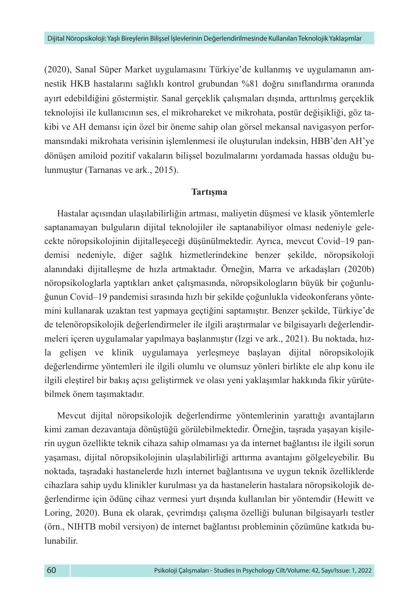(2020), Sanal Süper Market uygulamasını Türkiye'de kullanmış ve uygulamanın amnestik HKB hastalarını sağlıklı kontrol grubundan %81 doğru sınıflandırma oranında ayırt edebildiğini göstermiştir. Sanal gerçeklik çalışmaları dışında, arttırılmış gerçeklik teknolojisi ile kullanıcının ses, el mikrohareket ve mikrohata, postür değişikliği, göz takibi ve AH demansı için özel bir öneme sahip olan görsel mekansal navigasyon performansındaki mikrohata verisinin işlemlenmesi ile oluşturulan indeksin, HBB'den AH'ye dönüşen amiloid pozitif vakaların bilişsel bozulmalarını yordamada hassas olduğu bulunmuştur (Tarnanas ve ark., 2015).

# **Tartışma**

Hastalar açısından ulaşılabilirliğin artması, maliyetin düşmesi ve klasik yöntemlerle saptanamayan bulguların dijital teknolojiler ile saptanabiliyor olması nedeniyle gelecekte nöropsikolojinin dijitalleşeceği düşünülmektedir. Ayrıca, mevcut Covid–19 pandemisi nedeniyle, diğer sağlık hizmetlerindekine benzer şekilde, nöropsikoloji alanındaki dijitalleşme de hızla artmaktadır. Örneğin, Marra ve arkadaşları (2020b) nöropsikologlarla yaptıkları anket çalışmasında, nöropsikologların büyük bir çoğunluğunun Covid–19 pandemisi sırasında hızlı bir şekilde çoğunlukla videokonferans yöntemini kullanarak uzaktan test yapmaya geçtiğini saptamıştır. Benzer şekilde, Türkiye'de de telenöropsikolojik değerlendirmeler ile ilgili araştırmalar ve bilgisayarlı değerlendirmeleri içeren uygulamalar yapılmaya başlanmıştır (Izgi ve ark., 2021). Bu noktada, hızla gelişen ve klinik uygulamaya yerleşmeye başlayan dijital nöropsikolojik değerlendirme yöntemleri ile ilgili olumlu ve olumsuz yönleri birlikte ele alıp konu ile ilgili eleştirel bir bakış açısı geliştirmek ve olası yeni yaklaşımlar hakkında fikir yürütebilmek önem taşımaktadır.

Mevcut dijital nöropsikolojik değerlendirme yöntemlerinin yarattığı avantajların kimi zaman dezavantaja dönüştüğü görülebilmektedir. Örneğin, taşrada yaşayan kişilerin uygun özellikte teknik cihaza sahip olmaması ya da internet bağlantısı ile ilgili sorun yaşaması, dijital nöropsikolojinin ulaşılabilirliği arttırma avantajını gölgeleyebilir. Bu noktada, taşradaki hastanelerde hızlı internet bağlantısına ve uygun teknik özelliklerde cihazlara sahip uydu klinikler kurulması ya da hastanelerin hastalara nöropsikolojik değerlendirme için ödünç cihaz vermesi yurt dışında kullanılan bir yöntemdir (Hewitt ve Loring, 2020). Buna ek olarak, çevrimdışı çalışma özelliği bulunan bilgisayarlı testler (örn., NIHTB mobil versiyon) de internet bağlantısı probleminin çözümüne katkıda bulunabilir.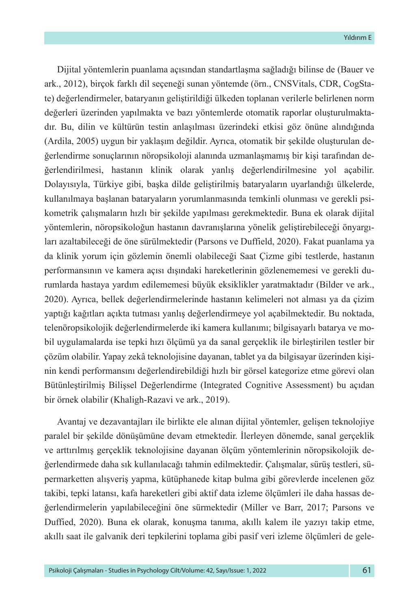Dijital yöntemlerin puanlama açısından standartlaşma sağladığı bilinse de (Bauer ve ark., 2012), birçok farklı dil seçeneği sunan yöntemde (örn., CNSVitals, CDR, CogState) değerlendirmeler, bataryanın geliştirildiği ülkeden toplanan verilerle belirlenen norm değerleri üzerinden yapılmakta ve bazı yöntemlerde otomatik raporlar oluşturulmaktadır. Bu, dilin ve kültürün testin anlaşılması üzerindeki etkisi göz önüne alındığında (Ardila, 2005) uygun bir yaklaşım değildir. Ayrıca, otomatik bir şekilde oluşturulan değerlendirme sonuçlarının nöropsikoloji alanında uzmanlaşmamış bir kişi tarafından değerlendirilmesi, hastanın klinik olarak yanlış değerlendirilmesine yol açabilir. Dolayısıyla, Türkiye gibi, başka dilde geliştirilmiş bataryaların uyarlandığı ülkelerde, kullanılmaya başlanan bataryaların yorumlanmasında temkinli olunması ve gerekli psikometrik çalışmaların hızlı bir şekilde yapılması gerekmektedir. Buna ek olarak dijital yöntemlerin, nöropsikoloğun hastanın davranışlarına yönelik geliştirebileceği önyargıları azaltabileceği de öne sürülmektedir (Parsons ve Duffield, 2020). Fakat puanlama ya da klinik yorum için gözlemin önemli olabileceği Saat Çizme gibi testlerde, hastanın performansının ve kamera açısı dışındaki hareketlerinin gözlenememesi ve gerekli durumlarda hastaya yardım edilememesi büyük eksiklikler yaratmaktadır (Bilder ve ark., 2020). Ayrıca, bellek değerlendirmelerinde hastanın kelimeleri not alması ya da çizim yaptığı kağıtları açıkta tutması yanlış değerlendirmeye yol açabilmektedir. Bu noktada, telenöropsikolojik değerlendirmelerde iki kamera kullanımı; bilgisayarlı batarya ve mobil uygulamalarda ise tepki hızı ölçümü ya da sanal gerçeklik ile birleştirilen testler bir çözüm olabilir. Yapay zekâ teknolojisine dayanan, tablet ya da bilgisayar üzerinden kişinin kendi performansını değerlendirebildiği hızlı bir görsel kategorize etme görevi olan Bütünleştirilmiş Bilişsel Değerlendirme (Integrated Cognitive Assessment) bu açıdan bir örnek olabilir (Khaligh-Razavi ve ark., 2019).

Avantaj ve dezavantajları ile birlikte ele alınan dijital yöntemler, gelişen teknolojiye paralel bir şekilde dönüşümüne devam etmektedir. İlerleyen dönemde, sanal gerçeklik ve arttırılmış gerçeklik teknolojisine dayanan ölçüm yöntemlerinin nöropsikolojik değerlendirmede daha sık kullanılacağı tahmin edilmektedir. Çalışmalar, sürüş testleri, süpermarketten alışveriş yapma, kütüphanede kitap bulma gibi görevlerde incelenen göz takibi, tepki latansı, kafa hareketleri gibi aktif data izleme ölçümleri ile daha hassas değerlendirmelerin yapılabileceğini öne sürmektedir (Miller ve Barr, 2017; Parsons ve Duffied, 2020). Buna ek olarak, konuşma tanıma, akıllı kalem ile yazıyı takip etme, akıllı saat ile galvanik deri tepkilerini toplama gibi pasif veri izleme ölçümleri de gele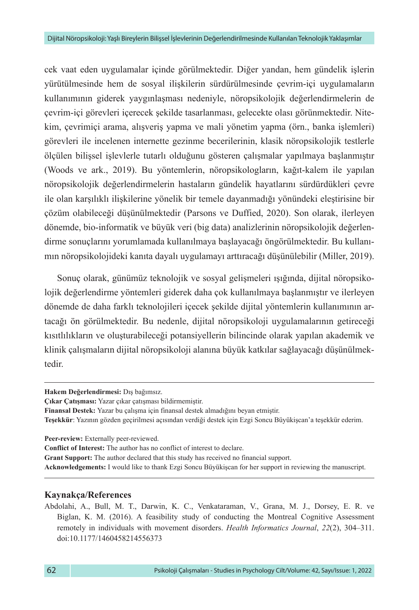cek vaat eden uygulamalar içinde görülmektedir. Diğer yandan, hem gündelik işlerin yürütülmesinde hem de sosyal ilişkilerin sürdürülmesinde çevrim-içi uygulamaların kullanımının giderek yaygınlaşması nedeniyle, nöropsikolojik değerlendirmelerin de çevrim-içi görevleri içerecek şekilde tasarlanması, gelecekte olası görünmektedir. Nitekim, çevrimiçi arama, alışveriş yapma ve mali yönetim yapma (örn., banka işlemleri) görevleri ile incelenen internette gezinme becerilerinin, klasik nöropsikolojik testlerle ölçülen bilişsel işlevlerle tutarlı olduğunu gösteren çalışmalar yapılmaya başlanmıştır (Woods ve ark., 2019). Bu yöntemlerin, nöropsikologların, kağıt-kalem ile yapılan nöropsikolojik değerlendirmelerin hastaların gündelik hayatlarını sürdürdükleri çevre ile olan karşılıklı ilişkilerine yönelik bir temele dayanmadığı yönündeki eleştirisine bir çözüm olabileceği düşünülmektedir (Parsons ve Duffied, 2020). Son olarak, ilerleyen dönemde, bio-informatik ve büyük veri (big data) analizlerinin nöropsikolojik değerlendirme sonuçlarını yorumlamada kullanılmaya başlayacağı öngörülmektedir. Bu kullanımın nöropsikolojideki kanıta dayalı uygulamayı arttıracağı düşünülebilir (Miller, 2019).

Sonuç olarak, günümüz teknolojik ve sosyal gelişmeleri ışığında, dijital nöropsikolojik değerlendirme yöntemleri giderek daha çok kullanılmaya başlanmıştır ve ilerleyen dönemde de daha farklı teknolojileri içecek şekilde dijital yöntemlerin kullanımının artacağı ön görülmektedir. Bu nedenle, dijital nöropsikoloji uygulamalarının getireceği kısıtlılıkların ve oluşturabileceği potansiyellerin bilincinde olarak yapılan akademik ve klinik çalışmaların dijital nöropsikoloji alanına büyük katkılar sağlayacağı düşünülmektedir.

**Hakem Değerlendirmesi:** Dış bağımsız.

**Çıkar Çatışması:** Yazar çıkar çatışması bildirmemiştir.

**Finansal Destek:** Yazar bu çalışma için finansal destek almadığını beyan etmiştir.

**Teşekkür**: Yazının gözden geçirilmesi açısından verdiği destek için Ezgi Soncu Büyükişcan'a teşekkür ederim.

**Peer-review:** Externally peer-reviewed.

**Conflict of Interest:** The author has no conflict of interest to declare.

**Grant Support:** The author declared that this study has received no financial support.

**Acknowledgements:** I would like to thank Ezgi Soncu Büyükişcan for her support in reviewing the manuscript.

## **Kaynakça/References**

Abdolahi, A., Bull, M. T., Darwin, K. C., Venkataraman, V., Grana, M. J., Dorsey, E. R. ve Biglan, K. M. (2016). A feasibility study of conducting the Montreal Cognitive Assessment remotely in individuals with movement disorders. *Health Informatics Journal*, *22*(2), 304–311. doi:10.1177/1460458214556373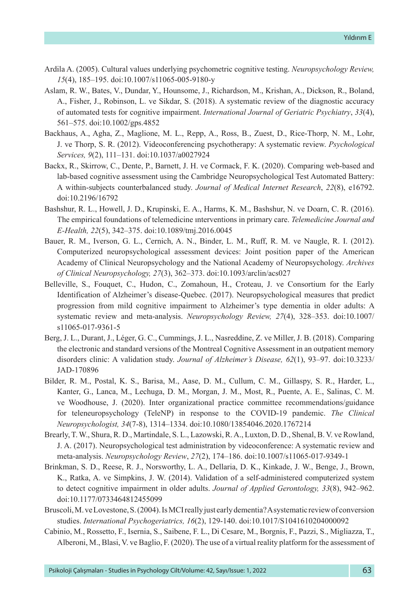- Ardila A. (2005). Cultural values underlying psychometric cognitive testing. *Neuropsychology Review, 15*(4), 185–195. doi:10.1007/s11065-005-9180-y
- Aslam, R. W., Bates, V., Dundar, Y., Hounsome, J., Richardson, M., Krishan, A., Dickson, R., Boland, A., Fisher, J., Robinson, L. ve Sikdar, S. (2018). A systematic review of the diagnostic accuracy of automated tests for cognitive impairment. *International Journal of Geriatric Psychiatry*, *33*(4), 561–575. [doi:10.1002/gps.4852](https://doi.org/10.1002/gps.4852)
- Backhaus, A., Agha, Z., Maglione, M. L., Repp, A., Ross, B., Zuest, D., Rice-Thorp, N. M., Lohr, J. ve Thorp, S. R. (2012). Videoconferencing psychotherapy: A systematic review. *Psychological Services, 9*(2), 111–131. doi:10.1037/a0027924
- Backx, R., Skirrow, C., Dente, P., Barnett, J. H. ve Cormack, F. K. (2020). Comparing web-based and lab-based cognitive assessment using the Cambridge Neuropsychological Test Automated Battery: A within-subjects counterbalanced study. *Journal of Medical Internet Research*, *22*(8), e16792. doi:10.2196/16792
- Bashshur, R. L., Howell, J. D., Krupinski, E. A., Harms, K. M., Bashshur, N. ve Doarn, C. R. (2016). The empirical foundations of telemedicine ınterventions in primary care. *Telemedicine Journal and E-Health, 22*(5), 342–375. doi:10.1089/tmj.2016.0045
- Bauer, R. M., Iverson, G. L., Cernich, A. N., Binder, L. M., Ruff, R. M. ve Naugle, R. I. (2012). Computerized neuropsychological assessment devices: Joint position paper of the American Academy of Clinical Neuropsychology and the National Academy of Neuropsychology. *Archives of Clinical Neuropsychology, 27*(3), 362–373. doi:10.1093/arclin/acs027
- Belleville, S., Fouquet, C., Hudon, C., Zomahoun, H., Croteau, J. ve Consortium for the Early Identification of Alzheimer's disease-Quebec. (2017). Neuropsychological measures that predict progression from mild cognitive impairment to Alzheimer's type dementia in older adults: A systematic review and meta-analysis. *Neuropsychology Review, 27*(4), 328–353. doi:10.1007/ s11065-017-9361-5
- Berg, J. L., Durant, J., Léger, G. C., Cummings, J. L., Nasreddine, Z. ve Miller, J. B. (2018). Comparing the electronic and standard versions of the Montreal Cognitive Assessment in an outpatient memory disorders clinic: A validation study. *Journal of Alzheimer's Disease, 62*(1), 93–97. [doi:10.3233/](https://doi.org/10.3233/JAD-170896) [JAD-170896](https://doi.org/10.3233/JAD-170896)
- Bilder, R. M., Postal, K. S., Barisa, M., Aase, D. M., Cullum, C. M., Gillaspy, S. R., Harder, L., Kanter, G., Lanca, M., Lechuga, D. M., Morgan, J. M., Most, R., Puente, A. E., Salinas, C. M. ve Woodhouse, J. (2020). Inter organizational practice committee recommendations/guidance for teleneuropsychology (TeleNP) in response to the COVID-19 pandemic. *The Clinical Neuropsychologist, 34*(7-8), 1314–1334. doi:10.1080/13854046.2020.1767214
- Brearly, T. W., Shura, R. D., Martindale, S. L., Lazowski, R. A., Luxton, D. D., Shenal, B. V. ve Rowland, J. A. (2017). Neuropsychological test administration by videoconference: A systematic review and meta-analysis. *Neuropsychology Review*, *27*(2), 174–186. doi:10.1007/s11065-017-9349-1
- Brinkman, S. D., Reese, R. J., Norsworthy, L. A., Dellaria, D. K., Kinkade, J. W., Benge, J., Brown, K., Ratka, A. ve Simpkins, J. W. (2014). Validation of a self-administered computerized system to detect cognitive impairment in older adults. *Journal of Applied Gerontology, 33*(8), 942–962. doi:10.1177/0733464812455099
- Bruscoli, M. ve Lovestone, S. (2004). Is MCI really just early dementia? A systematic review of conversion studies. *International Psychogeriatrics, 16*(2), 129-140. doi:10.1017/S1041610204000092
- Cabinio, M., Rossetto, F., Isernia, S., Saibene, F. L., Di Cesare, M., Borgnis, F., Pazzi, S., Migliazza, T., Alberoni, M., Blasi, V. ve Baglio, F. (2020). The use of a virtual reality platform for the assessment of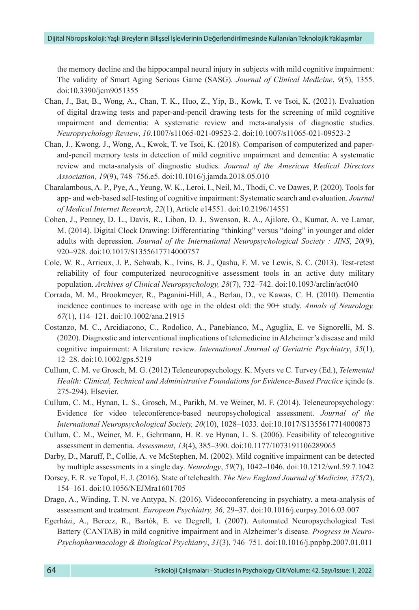the memory decline and the hippocampal neural injury in subjects with mild cognitive impairment: The validity of Smart Aging Serious Game (SASG). *Journal of Clinical Medicine*, *9*(5), 1355. doi:10.3390/jcm9051355

- Chan, J., Bat, B., Wong, A., Chan, T. K., Huo, Z., Yip, B., Kowk, T. ve Tsoi, K. (2021). Evaluation of digital drawing tests and paper-and-pencil drawing tests for the screening of mild cognitive ımpairment and dementia: A systematic review and meta-analysis of diagnostic studies. *Neuropsychology Review*, *10*.1007/s11065-021-09523-2. doi:10.1007/s11065-021-09523-2
- Chan, J., Kwong, J., Wong, A., Kwok, T. ve Tsoi, K. (2018). Comparison of computerized and paperand-pencil memory tests in detection of mild cognitive ımpairment and dementia: A systematic review and meta-analysis of diagnostic studies. *Journal of the American Medical Directors Association, 19*(9), 748–756.e5. [doi:10.1016/j.jamda.2018.05.010](https://doi.org/10.1016/j.jamda.2018.05.010)
- Charalambous, A. P., Pye, A., Yeung, W. K., Leroi, I., Neil, M., Thodi, C. ve Dawes, P. (2020). Tools for app- and web-based self-testing of cognitive impairment: Systematic search and evaluation. *Journal of Medical Internet Research*, *22*(1), Article e14551. doi:10.2196/14551
- Cohen, J., Penney, D. L., Davis, R., Libon, D. J., Swenson, R. A., Ajilore, O., Kumar, A. ve Lamar, M. (2014). Digital Clock Drawing: Differentiating "thinking" versus "doing" in younger and older adults with depression. *Journal of the International Neuropsychological Society : JINS*, *20*(9), 920–928. doi:10.1017/S1355617714000757
- Cole, W. R., Arrieux, J. P., Schwab, K., Ivins, B. J., Qashu, F. M. ve Lewis, S. C. (2013). Test-retest reliability of four computerized neurocognitive assessment tools in an active duty military population. *Archives of Clinical Neuropsychology, 28*(7), 732–742. doi:10.1093/arclin/act040
- Corrada, M. M., Brookmeyer, R., Paganini-Hill, A., Berlau, D., ve Kawas, C. H. (2010). Dementia incidence continues to increase with age in the oldest old: the 90+ study. *Annals of Neurology, 67*(1), 114–121. doi:10.1002/ana.21915
- Costanzo, M. C., Arcidiacono, C., Rodolico, A., Panebianco, M., Aguglia, E. ve Signorelli, M. S. (2020). Diagnostic and interventional implications of telemedicine in Alzheimer's disease and mild cognitive impairment: A literature review. *International Journal of Geriatric Psychiatry*, *35*(1), 12–28. doi:10.1002/gps.5219
- Cullum, C. M. ve Grosch, M. G. (2012) Teleneuropsychology. K. Myers ve C. Turvey (Ed.), *Telemental Health: Clinical, Technical and Administrative Foundations for Evidence-Based Practice* içinde (s. 275-294). Elsevier.
- Cullum, C. M., Hynan, L. S., Grosch, M., Parikh, M. ve Weiner, M. F. (2014). Teleneuropsychology: Evidence for video teleconference-based neuropsychological assessment. *Journal of the International Neuropsychological Society, 20*(10), 1028–1033. doi:10.1017/S1355617714000873
- Cullum, C. M., Weiner, M. F., Gehrmann, H. R. ve Hynan, L. S. (2006). Feasibility of telecognitive assessment in dementia. *Assessment*, *13*(4), 385–390. doi:10.1177/1073191106289065
- Darby, D., Maruff, P., Collie, A. ve McStephen, M. (2002). Mild cognitive impairment can be detected by multiple assessments in a single day. *Neurology*, *59*(7), 1042–1046. doi:10.1212/wnl.59.7.1042
- Dorsey, E. R. ve Topol, E. J. (2016). State of telehealth. *The New England Journal of Medicine, 375(*2), 154–161. [doi:10.1056/NEJMra1601705](https://doi.org/10.1056/NEJMra1601705)
- Drago, A., Winding, T. N. ve Antypa, N. (2016). Videoconferencing in psychiatry, a meta-analysis of assessment and treatment. *European Psychiatry, 36,* 29–37. doi:10.1016/j.eurpsy.2016.03.007
- Egerházi, A., Berecz, R., Bartók, E. ve Degrell, I. (2007). Automated Neuropsychological Test Battery (CANTAB) in mild cognitive impairment and in Alzheimer's disease. *Progress in Neuro-Psychopharmacology & Biological Psychiatry*, *31*(3), 746–751. doi:10.1016/j.pnpbp.2007.01.011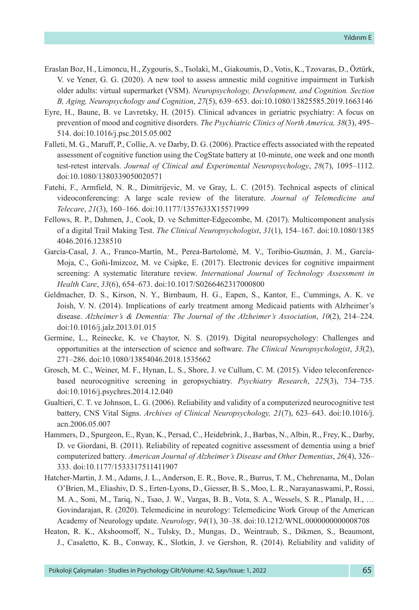- Eraslan Boz, H., Limoncu, H., Zygouris, S., Tsolaki, M., Giakoumis, D., Votis, K., Tzovaras, D., Öztürk, V. ve Yener, G. G. (2020). A new tool to assess amnestic mild cognitive impairment in Turkish older adults: virtual supermarket (VSM). *Neuropsychology, Development, and Cognition. Section B, Aging, Neuropsychology and Cognition*, *27*(5), 639–653. doi:10.1080/13825585.2019.1663146
- Eyre, H., Baune, B. ve Lavretsky, H. (2015). Clinical advances in geriatric psychiatry: A focus on prevention of mood and cognitive disorders. *The Psychiatric Clinics of North America, 38*(3), 495– 514. doi:10.1016/j.psc.2015.05.002
- Falleti, M. G., Maruff, P., Collie, A. ve Darby, D. G. (2006). Practice effects associated with the repeated assessment of cognitive function using the CogState battery at 10-minute, one week and one month test-retest intervals. *Journal of Clinical and Experimental Neuropsychology*, *28*(7), 1095–1112. doi:10.1080/1380339050020571
- Fatehi, F., Armfield, N. R., Dimitrijevic, M. ve Gray, L. C. (2015). Technical aspects of clinical videoconferencing: A large scale review of the literature. *Journal of Telemedicine and Telecare*, *21*(3), 160–166. doi:10.1177/1357633X15571999
- Fellows, R. P., Dahmen, J., Cook, D. ve Schmitter-Edgecombe, M. (2017). Multicomponent analysis of a digital Trail Making Test. *The Clinical Neuropsychologist*, *31*(1), 154–167. doi:10.1080/1385 4046.2016.1238510
- García-Casal, J. A., Franco-Martín, M., Perea-Bartolomé, M. V., Toribio-Guzmán, J. M., García-Moja, C., Goñi-Imizcoz, M. ve Csipke, E. (2017). Electronic devices for cognitive impairment screening: A systematic literature review. *International Journal of Technology Assessment in Health Care*, *33*(6), 654–673. doi:10.1017/S0266462317000800
- Geldmacher, D. S., Kirson, N. Y., Birnbaum, H. G., Eapen, S., Kantor, E., Cummings, A. K. ve Joish, V. N. (2014). Implications of early treatment among Medicaid patients with Alzheimer's disease. *Alzheimer's & Dementia: The Journal of the Alzheimer's Association*, *10*(2), 214–224. doi:10.1016/j.jalz.2013.01.015
- Germine, L., Reinecke, K. ve Chaytor, N. S. (2019). Digital neuropsychology: Challenges and opportunities at the intersection of science and software. *The Clinical Neuropsychologist*, *33*(2), 271–286. doi:10.1080/13854046.2018.1535662
- Grosch, M. C., Weiner, M. F., Hynan, L. S., Shore, J. ve Cullum, C. M. (2015). Video teleconferencebased neurocognitive screening in geropsychiatry. *Psychiatry Research*, *225*(3), 734–735. doi:10.1016/j.psychres.2014.12.040
- Gualtieri, C. T. ve Johnson, L. G. (2006). Reliability and validity of a computerized neurocognitive test battery, CNS Vital Signs. *Archives of Clinical Neuropsychology, 21*(7), 623–643. doi:10.1016/j. acn.2006.05.007
- Hammers, D., Spurgeon, E., Ryan, K., Persad, C., Heidebrink, J., Barbas, N., Albin, R., Frey, K., Darby, D. ve Giordani, B. (2011). Reliability of repeated cognitive assessment of dementia using a brief computerized battery. *American Journal of Alzheimer's Disease and Other Dementias*, *26*(4), 326– 333. doi:10.1177/1533317511411907
- Hatcher-Martin, J. M., Adams, J. L., Anderson, E. R., Bove, R., Burrus, T. M., Chehrenama, M., Dolan O'Brien, M., Eliashiv, D. S., Erten-Lyons, D., Giesser, B. S., Moo, L. R., Narayanaswami, P., Rossi, M. A., Soni, M., Tariq, N., Tsao, J. W., Vargas, B. B., Vota, S. A., Wessels, S. R., Planalp, H., … Govindarajan, R. (2020). Telemedicine in neurology: Telemedicine Work Group of the American Academy of Neurology update. *Neurology*, *94*(1), 30–38. doi:10.1212/WNL.0000000000008708
- Heaton, R. K., Akshoomoff, N., Tulsky, D., Mungas, D., Weintraub, S., Dikmen, S., Beaumont, J., Casaletto, K. B., Conway, K., Slotkin, J. ve Gershon, R. (2014). Reliability and validity of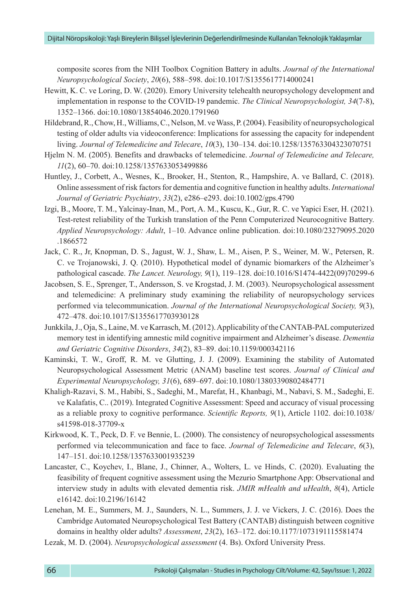composite scores from the NIH Toolbox Cognition Battery in adults. *Journal of the International Neuropsychological Society*, *20*(6), 588–598. [doi:10.1017/S1355617714000241](https://doi.org/10.1017/S1355617714000241)

- Hewitt, K. C. ve Loring, D. W. (2020). Emory University telehealth neuropsychology development and implementation in response to the COVID-19 pandemic. *The Clinical Neuropsychologist, 34*(7-8), 1352–1366. doi:10.1080/13854046.2020.1791960
- Hildebrand, R., Chow, H., Williams, C., Nelson, M. ve Wass, P. (2004). Feasibility of neuropsychological testing of older adults via videoconference: Implications for assessing the capacity for independent living. *Journal of Telemedicine and Telecare*, *10*(3), 130–134. doi:10.1258/135763304323070751
- Hjelm N. M. (2005). Benefits and drawbacks of telemedicine. *Journal of Telemedicine and Telecare, 11*(2), 60–70. doi:10.1258/1357633053499886
- Huntley, J., Corbett, A., Wesnes, K., Brooker, H., Stenton, R., Hampshire, A. ve Ballard, C. (2018). Online assessment of risk factors for dementia and cognitive function in healthy adults. *International Journal of Geriatric Psychiatry*, *33*(2), e286–e293. doi:10.1002/gps.4790
- Izgi, B., Moore, T. M., Yalcinay-Inan, M., Port, A. M., Kuscu, K., Gur, R. C. ve Yapici Eser, H. (2021). Test-retest reliability of the Turkish translation of the Penn Computerized Neurocognitive Battery. *Applied Neuropsychology: Adult*, 1–10. Advance online publication. doi:10.1080/23279095.2020 .1866572
- Jack, C. R., Jr, Knopman, D. S., Jagust, W. J., Shaw, L. M., Aisen, P. S., Weiner, M. W., Petersen, R. C. ve Trojanowski, J. Q. (2010). Hypothetical model of dynamic biomarkers of the Alzheimer's pathological cascade. *The Lancet. Neurology, 9*(1), 119–128. doi:10.1016/S1474-4422(09)70299-6
- Jacobsen, S. E., Sprenger, T., Andersson, S. ve Krogstad, J. M. (2003). Neuropsychological assessment and telemedicine: A preliminary study examining the reliability of neuropsychology services performed via telecommunication. *Journal of the International Neuropsychological Society, 9*(3), 472–478. doi:10.1017/S1355617703930128
- Junkkila, J., Oja, S., Laine, M. ve Karrasch, M. (2012). Applicability of the CANTAB-PAL computerized memory test in identifying amnestic mild cognitive impairment and Alzheimer's disease. *Dementia and Geriatric Cognitive Disorders*, *34*(2), 83–89. [doi:10.1159/000342116](https://doi.org/10.1159/000342116)
- Kaminski, T. W., Groff, R. M. ve Glutting, J. J. (2009). Examining the stability of Automated Neuropsychological Assessment Metric (ANAM) baseline test scores. *Journal of Clinical and Experimental Neuropsychology, 31*(6), 689–697. doi:10.1080/13803390802484771
- Khaligh-Razavi, S. M., Habibi, S., Sadeghi, M., Marefat, H., Khanbagi, M., Nabavi, S. M., Sadeghi, E. ve Kalafatis, C.. (2019). Integrated Cognitive Assessment: Speed and accuracy of visual processing as a reliable proxy to cognitive performance. *Scientific Reports, 9*(1), Article 1102. doi:10.1038/ s41598-018-37709-x
- Kirkwood, K. T., Peck, D. F. ve Bennie, L. (2000). The consistency of neuropsychological assessments performed via telecommunication and face to face. *Journal of Telemedicine and Telecare*, *6*(3), 147–151. [doi:10.1258/1357633001935239](https://doi.org/10.1258/1357633001935239)
- Lancaster, C., Koychev, I., Blane, J., Chinner, A., Wolters, L. ve Hinds, C. (2020). Evaluating the feasibility of frequent cognitive assessment using the Mezurio Smartphone App: Observational and interview study in adults with elevated dementia risk. *JMIR mHealth and uHealth*, *8*(4), Article e16142. doi:10.2196/16142
- Lenehan, M. E., Summers, M. J., Saunders, N. L., Summers, J. J. ve Vickers, J. C. (2016). Does the Cambridge Automated Neuropsychological Test Battery (CANTAB) distinguish between cognitive domains in healthy older adults? *Assessment*, *23*(2), 163–172. [doi:10.1177/1073191115581474](https://doi.org/10.1177/1073191115581474)
- Lezak, M. D. (2004). *Neuropsychological assessment* (4. Bs). Oxford University Press.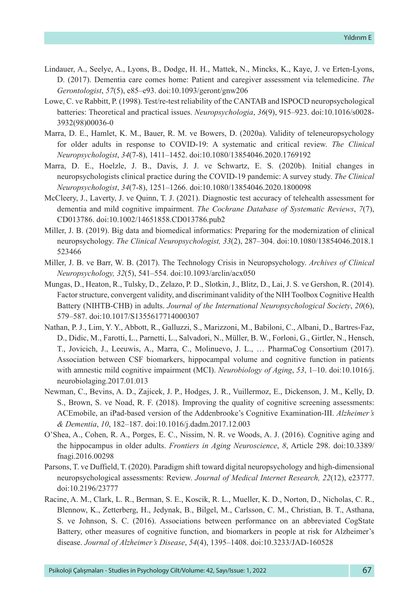- Lindauer, A., Seelye, A., Lyons, B., Dodge, H. H., Mattek, N., Mincks, K., Kaye, J. ve Erten-Lyons, D. (2017). Dementia care comes home: Patient and caregiver assessment via telemedicine. *The Gerontologist*, *57*(5), e85–e93. doi:10.1093/geront/gnw206
- Lowe, C. ve Rabbitt, P. (1998). Test/re-test reliability of the CANTAB and ISPOCD neuropsychological batteries: Theoretical and practical issues. *Neuropsychologia*, *36*(9), 915–923. doi:10.1016/s0028- 3932(98)00036-0
- Marra, D. E., Hamlet, K. M., Bauer, R. M. ve Bowers, D. (2020a). Validity of teleneuropsychology for older adults in response to COVID-19: A systematic and critical review. *The Clinical Neuropsychologist*, *34*(7-8), 1411–1452. doi:10.1080/13854046.2020.1769192
- Marra, D. E., Hoelzle, J. B., Davis, J. J. ve Schwartz, E. S. (2020b). Initial changes in neuropsychologists clinical practice during the COVID-19 pandemic: A survey study. *The Clinical Neuropsychologist*, *34*(7-8), 1251–1266. [doi:10.1080/13854046.2020.1800098](https://doi.org/10.1080/13854046.2020.1800098)
- McCleery, J., Laverty, J. ve Quinn, T. J. (2021). Diagnostic test accuracy of telehealth assessment for dementia and mild cognitive impairment. *The Cochrane Database of Systematic Reviews*, *7*(7), CD013786. [doi:10.1002/14651858.CD013786.pub2](https://doi.org/10.1002/14651858.CD013786.pub2)
- Miller, J. B. (2019). Big data and biomedical informatics: Preparing for the modernization of clinical neuropsychology. *The Clinical Neuropsychologist, 33*(2), 287–304. doi:10.1080/13854046.2018.1 523466
- Miller, J. B. ve Barr, W. B. (2017). The Technology Crisis in Neuropsychology. *Archives of Clinical Neuropsychology, 32*(5), 541–554. doi:10.1093/arclin/acx050
- Mungas, D., Heaton, R., Tulsky, D., Zelazo, P. D., Slotkin, J., Blitz, D., Lai, J. S. ve Gershon, R. (2014). Factor structure, convergent validity, and discriminant validity of the NIH Toolbox Cognitive Health Battery (NIHTB-CHB) in adults. *Journal of the International Neuropsychological Society*, *20*(6), 579–587. doi:10.1017/S1355617714000307
- Nathan, P. J., Lim, Y. Y., Abbott, R., Galluzzi, S., Marizzoni, M., Babiloni, C., Albani, D., Bartres-Faz, D., Didic, M., Farotti, L., Parnetti, L., Salvadori, N., Müller, B. W., Forloni, G., Girtler, N., Hensch, T., Jovicich, J., Leeuwis, A., Marra, C., Molinuevo, J. L., … PharmaCog Consortium (2017). Association between CSF biomarkers, hippocampal volume and cognitive function in patients with amnestic mild cognitive impairment (MCI). *Neurobiology of Aging*, *53*, 1–10. doi:10.1016/j. neurobiolaging.2017.01.013
- Newman, C., Bevins, A. D., Zajicek, J. P., Hodges, J. R., Vuillermoz, E., Dickenson, J. M., Kelly, D. S., Brown, S. ve Noad, R. F. (2018). Improving the quality of cognitive screening assessments: ACEmobile, an iPad-based version of the Addenbrooke's Cognitive Examination-III. *Alzheimer's & Dementia*, *10*, 182–187. doi:10.1016/j.dadm.2017.12.003
- O'Shea, A., Cohen, R. A., Porges, E. C., Nissim, N. R. ve Woods, A. J. (2016). Cognitive aging and the hippocampus in older adults. *Frontiers in Aging Neuroscience*, *8*, Article 298. doi:10.3389/ fnagi.2016.00298
- Parsons, T. ve Duffield, T. (2020). Paradigm shift toward digital neuropsychology and high-dimensional neuropsychological assessments: Review. *Journal of Medical Internet Research, 22*(12), e23777. doi:10.2196/23777
- Racine, A. M., Clark, L. R., Berman, S. E., Koscik, R. L., Mueller, K. D., Norton, D., Nicholas, C. R., Blennow, K., Zetterberg, H., Jedynak, B., Bilgel, M., Carlsson, C. M., Christian, B. T., Asthana, S. ve Johnson, S. C. (2016). Associations between performance on an abbreviated CogState Battery, other measures of cognitive function, and biomarkers in people at risk for Alzheimer's disease. *Journal of Alzheimer's Disease*, *54*(4), 1395–1408. doi:10.3233/JAD-160528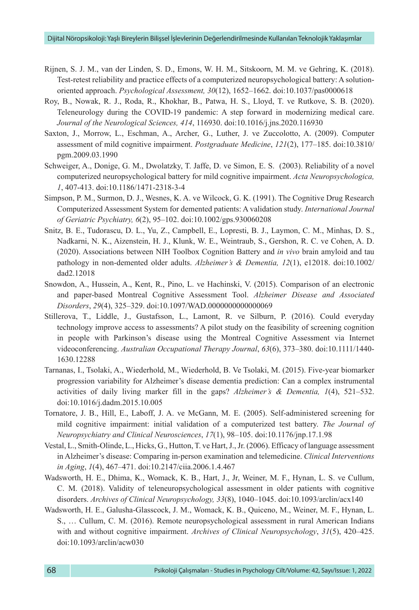- Rijnen, S. J. M., van der Linden, S. D., Emons, W. H. M., Sitskoorn, M. M. ve Gehring, K. (2018). Test-retest reliability and practice effects of a computerized neuropsychological battery: A solutionoriented approach. *Psychological Assessment, 30*(12), 1652–1662. doi:10.1037/pas0000618
- Roy, B., Nowak, R. J., Roda, R., Khokhar, B., Patwa, H. S., Lloyd, T. ve Rutkove, S. B. (2020). Teleneurology during the COVID-19 pandemic: A step forward in modernizing medical care. *Journal of the Neurological Sciences, 414*, 116930. doi:10.1016/j.jns.2020.116930
- Saxton, J., Morrow, L., Eschman, A., Archer, G., Luther, J. ve Zuccolotto, A. (2009). Computer assessment of mild cognitive impairment. *Postgraduate Medicine*, *121*(2), 177–185. doi:10.3810/ pgm.2009.03.1990
- Schweiger, A., Donige, G. M., Dwolatzky, T. Jaffe, D. ve Simon, E. S. (2003). Reliability of a novel computerized neuropsychological battery for mild cognitive impairment. *Acta Neuropsychologica, 1*, 407-413. [doi:10.1186/1471-2318-3-4](https://doi.org/10.1186/1471-2318-3-4)
- Simpson, P. M., Surmon, D. J., Wesnes, K. A. ve Wilcock, G. K. (1991). The Cognitive Drug Research Computerized Assessment System for demented patients: A validation study. *International Journal of Geriatric Psychiatry, 6*(2), 95–102. [doi:10.1002/gps.930060208](https://doi.org/10.1002/gps.930060208)
- Snitz, B. E., Tudorascu, D. L., Yu, Z., Campbell, E., Lopresti, B. J., Laymon, C. M., Minhas, D. S., Nadkarni, N. K., Aizenstein, H. J., Klunk, W. E., Weintraub, S., Gershon, R. C. ve Cohen, A. D. (2020). Associations between NIH Toolbox Cognition Battery and *in vivo* brain amyloid and tau pathology in non-demented older adults. *Alzheimer's & Dementia, 12*(1), e12018. doi:10.1002/ dad2.12018
- Snowdon, A., Hussein, A., Kent, R., Pino, L. ve Hachinski, V. (2015). Comparison of an electronic and paper-based Montreal Cognitive Assessment Tool. *Alzheimer Disease and Associated Disorders*, *29*(4), 325–329. doi:10.1097/WAD.0000000000000069
- Stillerova, T., Liddle, J., Gustafsson, L., Lamont, R. ve Silburn, P. (2016). Could everyday technology improve access to assessments? A pilot study on the feasibility of screening cognition in people with Parkinson's disease using the Montreal Cognitive Assessment via Internet videoconferencing. *Australian Occupational Therapy Journal*, *63*(6), 373–380. doi:10.1111/1440- 1630.12288
- Tarnanas, I., Tsolaki, A., Wiederhold, M., Wiederhold, B. Ve Tsolaki, M. (2015). Five-year biomarker progression variability for Alzheimer's disease dementia prediction: Can a complex instrumental activities of daily living marker fill in the gaps? *Alzheimer's & Dementia, 1*(4), 521–532. doi:10.1016/j.dadm.2015.10.005
- Tornatore, J. B., Hill, E., Laboff, J. A. ve McGann, M. E. (2005). Self-administered screening for mild cognitive impairment: initial validation of a computerized test battery. *The Journal of Neuropsychiatry and Clinical Neurosciences*, *17*(1), 98–105. doi:10.1176/jnp.17.1.98
- Vestal, L., Smith-Olinde, L., Hicks, G., Hutton, T. ve Hart, J., Jr. (2006). Efficacy of language assessment in Alzheimer's disease: Comparing in-person examination and telemedicine. *Clinical Interventions in Aging*, *1*(4), 467–471. doi:10.2147/ciia.2006.1.4.467
- Wadsworth, H. E., Dhima, K., Womack, K. B., Hart, J., Jr, Weiner, M. F., Hynan, L. S. ve Cullum, C. M. (2018). Validity of teleneuropsychological assessment in older patients with cognitive disorders. *Archives of Clinical Neuropsychology, 33*(8), 1040–1045. [doi:10.1093/arclin/acx140](https://doi.org/10.1093/arclin/acx140)
- Wadsworth, H. E., Galusha-Glasscock, J. M., Womack, K. B., Quiceno, M., Weiner, M. F., Hynan, L. S., … Cullum, C. M. (2016). Remote neuropsychological assessment in rural American Indians with and without cognitive impairment. *Archives of Clinical Neuropsychology*, *31*(5), 420–425. doi:10.1093/arclin/acw030